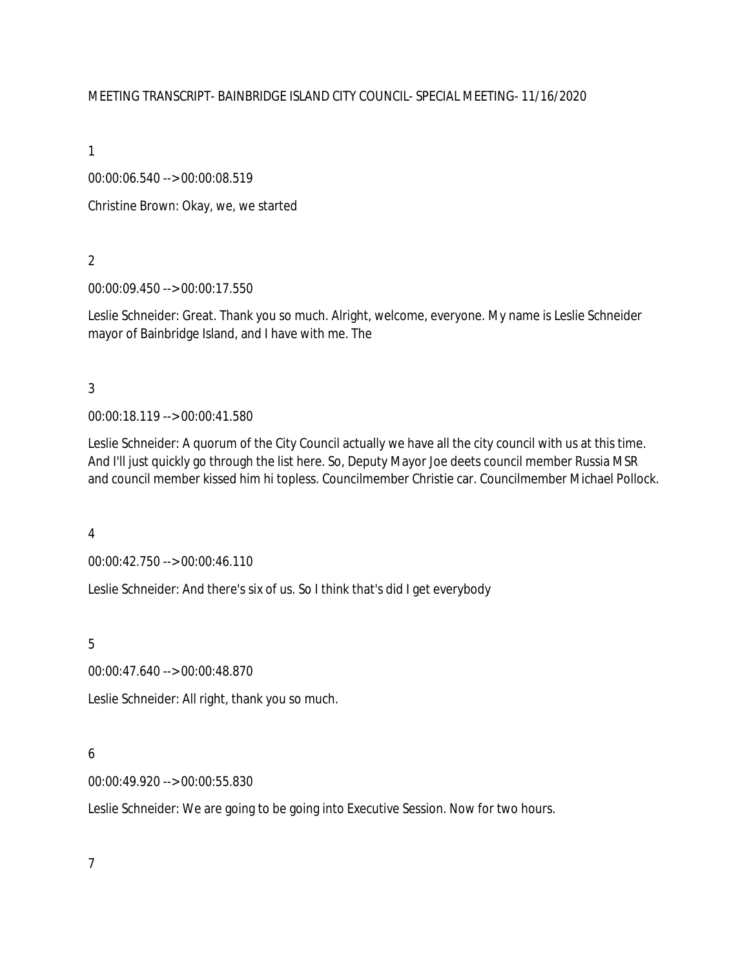### MEETING TRANSCRIPT- BAINBRIDGE ISLAND CITY COUNCIL- SPECIAL MEETING- 11/16/2020

1

00:00:06.540 --> 00:00:08.519

Christine Brown: Okay, we, we started

2

00:00:09.450 --> 00:00:17.550

Leslie Schneider: Great. Thank you so much. Alright, welcome, everyone. My name is Leslie Schneider mayor of Bainbridge Island, and I have with me. The

3

00:00:18.119 --> 00:00:41.580

Leslie Schneider: A quorum of the City Council actually we have all the city council with us at this time. And I'll just quickly go through the list here. So, Deputy Mayor Joe deets council member Russia MSR and council member kissed him hi topless. Councilmember Christie car. Councilmember Michael Pollock.

4

00:00:42.750 --> 00:00:46.110

Leslie Schneider: And there's six of us. So I think that's did I get everybody

5

00:00:47.640 --> 00:00:48.870

Leslie Schneider: All right, thank you so much.

# 6

00:00:49.920 --> 00:00:55.830

Leslie Schneider: We are going to be going into Executive Session. Now for two hours.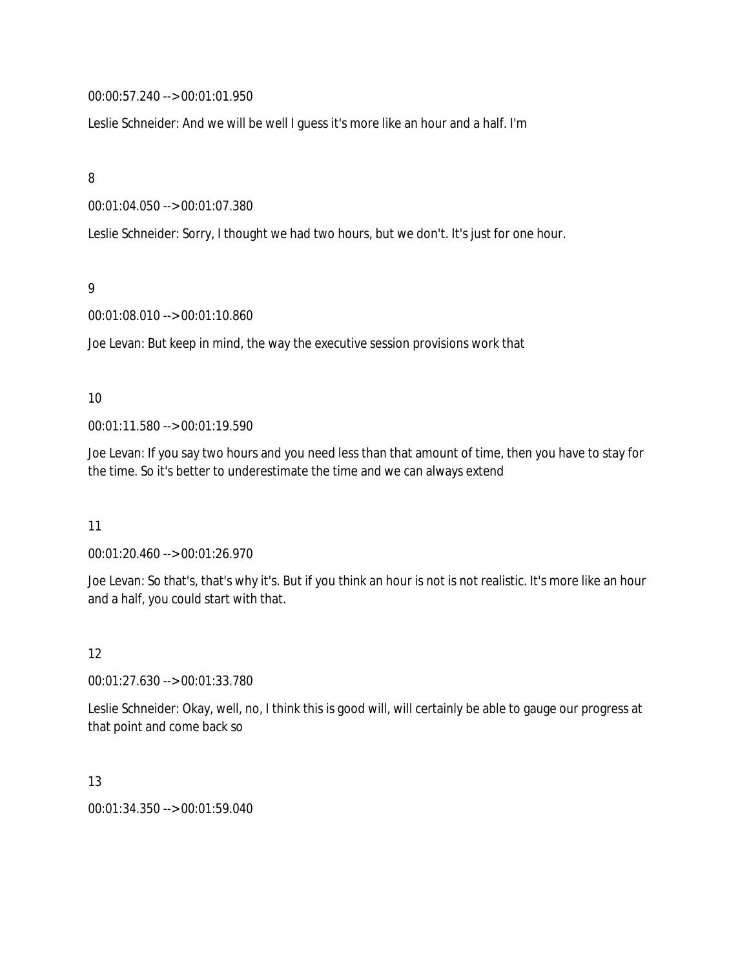00:00:57.240 --> 00:01:01.950

Leslie Schneider: And we will be well I guess it's more like an hour and a half. I'm

8

00:01:04.050 --> 00:01:07.380

Leslie Schneider: Sorry, I thought we had two hours, but we don't. It's just for one hour.

9

00:01:08.010 --> 00:01:10.860

Joe Levan: But keep in mind, the way the executive session provisions work that

### 10

00:01:11.580 --> 00:01:19.590

Joe Levan: If you say two hours and you need less than that amount of time, then you have to stay for the time. So it's better to underestimate the time and we can always extend

11

00:01:20.460 --> 00:01:26.970

Joe Levan: So that's, that's why it's. But if you think an hour is not is not realistic. It's more like an hour and a half, you could start with that.

12

00:01:27.630 --> 00:01:33.780

Leslie Schneider: Okay, well, no, I think this is good will, will certainly be able to gauge our progress at that point and come back so

# 13

00:01:34.350 --> 00:01:59.040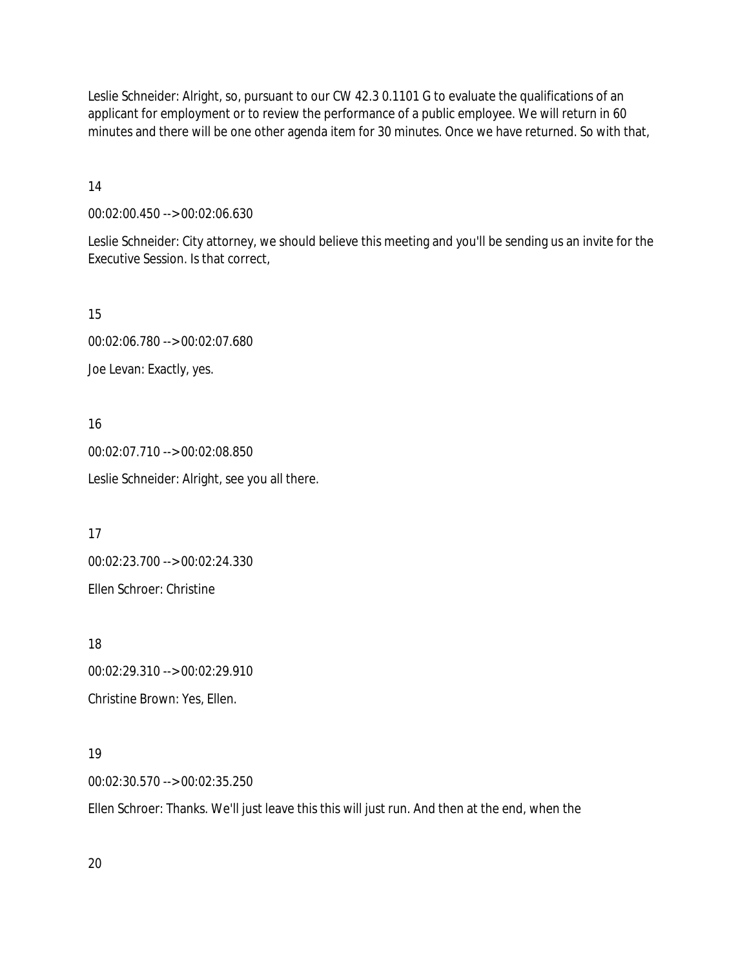Leslie Schneider: Alright, so, pursuant to our CW 42.3 0.1101 G to evaluate the qualifications of an applicant for employment or to review the performance of a public employee. We will return in 60 minutes and there will be one other agenda item for 30 minutes. Once we have returned. So with that,

14

00:02:00.450 --> 00:02:06.630

Leslie Schneider: City attorney, we should believe this meeting and you'll be sending us an invite for the Executive Session. Is that correct,

15

00:02:06.780 --> 00:02:07.680 Joe Levan: Exactly, yes.

16 00:02:07.710 --> 00:02:08.850 Leslie Schneider: Alright, see you all there.

17 00:02:23.700 --> 00:02:24.330 Ellen Schroer: Christine

18 00:02:29.310 --> 00:02:29.910 Christine Brown: Yes, Ellen.

19

00:02:30.570 --> 00:02:35.250

Ellen Schroer: Thanks. We'll just leave this this will just run. And then at the end, when the

20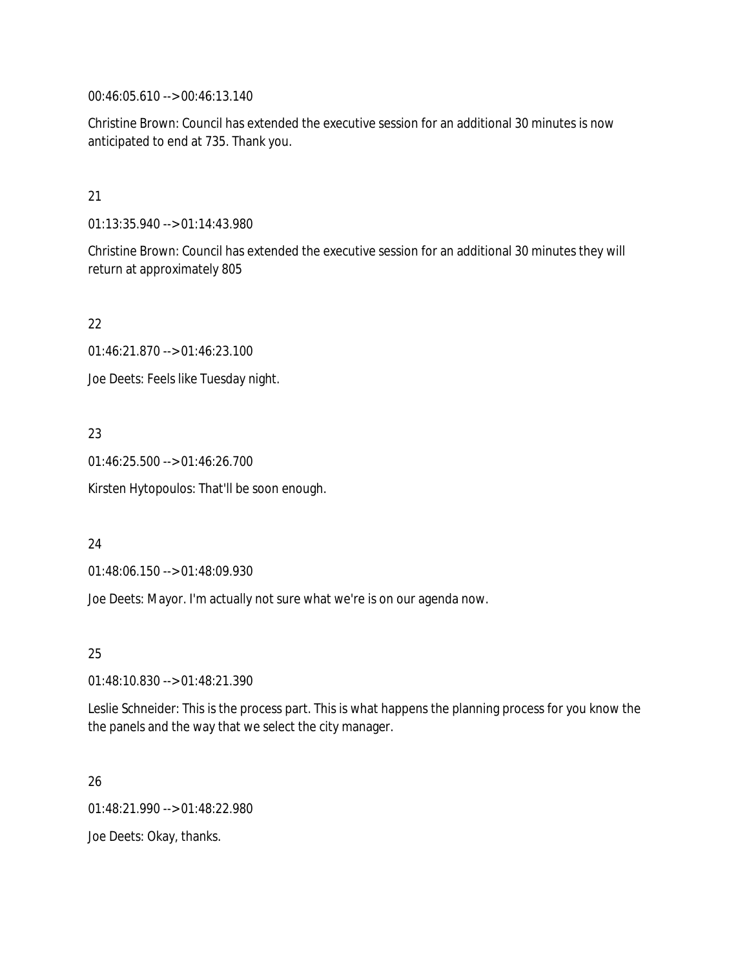00:46:05.610 --> 00:46:13.140

Christine Brown: Council has extended the executive session for an additional 30 minutes is now anticipated to end at 735. Thank you.

## 21

01:13:35.940 --> 01:14:43.980

Christine Brown: Council has extended the executive session for an additional 30 minutes they will return at approximately 805

# 22

01:46:21.870 --> 01:46:23.100

Joe Deets: Feels like Tuesday night.

# 23

01:46:25.500 --> 01:46:26.700

Kirsten Hytopoulos: That'll be soon enough.

# 24

01:48:06.150 --> 01:48:09.930

Joe Deets: Mayor. I'm actually not sure what we're is on our agenda now.

25

01:48:10.830 --> 01:48:21.390

Leslie Schneider: This is the process part. This is what happens the planning process for you know the the panels and the way that we select the city manager.

# 26

01:48:21.990 --> 01:48:22.980

Joe Deets: Okay, thanks.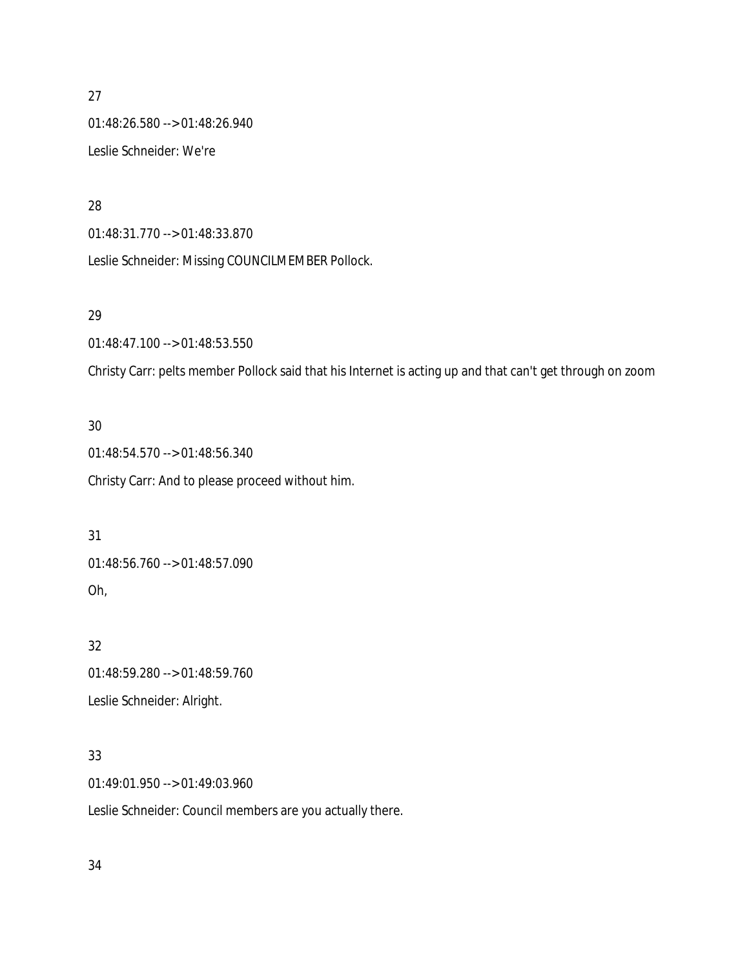01:48:26.580 --> 01:48:26.940 Leslie Schneider: We're

## 28

01:48:31.770 --> 01:48:33.870

Leslie Schneider: Missing COUNCILMEMBER Pollock.

# 29

01:48:47.100 --> 01:48:53.550

Christy Carr: pelts member Pollock said that his Internet is acting up and that can't get through on zoom

# 30

01:48:54.570 --> 01:48:56.340 Christy Carr: And to please proceed without him.

# 31

01:48:56.760 --> 01:48:57.090 Oh,

# 32

01:48:59.280 --> 01:48:59.760 Leslie Schneider: Alright.

# 33

01:49:01.950 --> 01:49:03.960

Leslie Schneider: Council members are you actually there.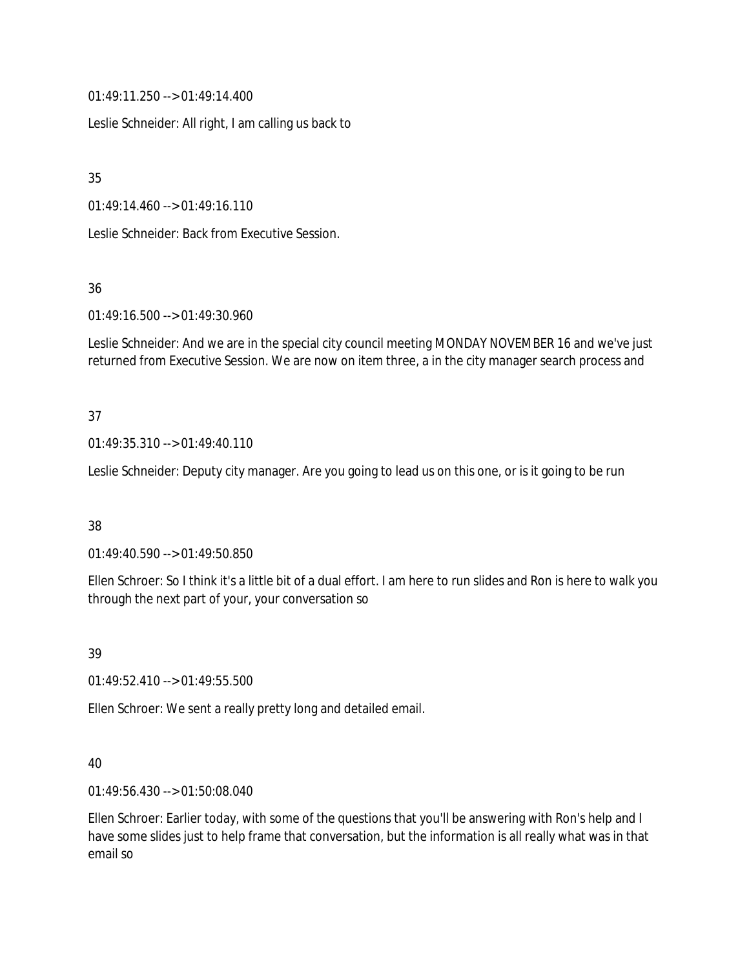01:49:11.250 --> 01:49:14.400

Leslie Schneider: All right, I am calling us back to

35

01:49:14.460 --> 01:49:16.110

Leslie Schneider: Back from Executive Session.

36

01:49:16.500 --> 01:49:30.960

Leslie Schneider: And we are in the special city council meeting MONDAY NOVEMBER 16 and we've just returned from Executive Session. We are now on item three, a in the city manager search process and

# 37

01:49:35.310 --> 01:49:40.110

Leslie Schneider: Deputy city manager. Are you going to lead us on this one, or is it going to be run

38

01:49:40.590 --> 01:49:50.850

Ellen Schroer: So I think it's a little bit of a dual effort. I am here to run slides and Ron is here to walk you through the next part of your, your conversation so

39

01:49:52.410 --> 01:49:55.500

Ellen Schroer: We sent a really pretty long and detailed email.

40

01:49:56.430 --> 01:50:08.040

Ellen Schroer: Earlier today, with some of the questions that you'll be answering with Ron's help and I have some slides just to help frame that conversation, but the information is all really what was in that email so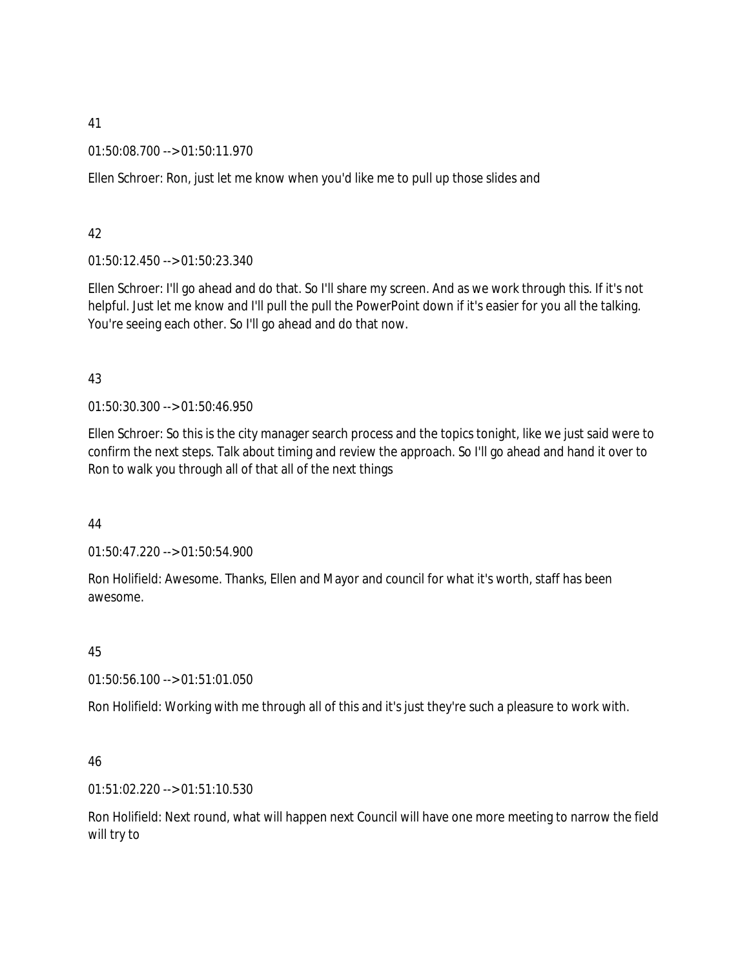01:50:08.700 --> 01:50:11.970

Ellen Schroer: Ron, just let me know when you'd like me to pull up those slides and

# 42

01:50:12.450 --> 01:50:23.340

Ellen Schroer: I'll go ahead and do that. So I'll share my screen. And as we work through this. If it's not helpful. Just let me know and I'll pull the pull the PowerPoint down if it's easier for you all the talking. You're seeing each other. So I'll go ahead and do that now.

# 43

01:50:30.300 --> 01:50:46.950

Ellen Schroer: So this is the city manager search process and the topics tonight, like we just said were to confirm the next steps. Talk about timing and review the approach. So I'll go ahead and hand it over to Ron to walk you through all of that all of the next things

# 44

01:50:47.220 --> 01:50:54.900

Ron Holifield: Awesome. Thanks, Ellen and Mayor and council for what it's worth, staff has been awesome.

# 45

01:50:56.100 --> 01:51:01.050

Ron Holifield: Working with me through all of this and it's just they're such a pleasure to work with.

# 46

01:51:02.220 --> 01:51:10.530

Ron Holifield: Next round, what will happen next Council will have one more meeting to narrow the field will try to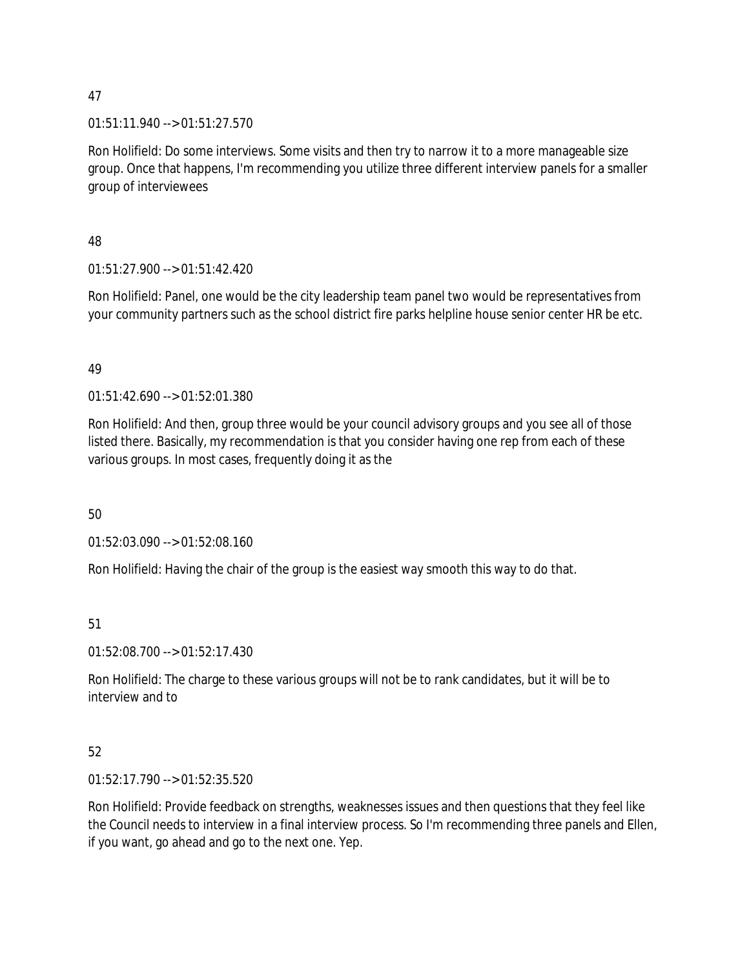01:51:11.940 --> 01:51:27.570

Ron Holifield: Do some interviews. Some visits and then try to narrow it to a more manageable size group. Once that happens, I'm recommending you utilize three different interview panels for a smaller group of interviewees

48

01:51:27.900 --> 01:51:42.420

Ron Holifield: Panel, one would be the city leadership team panel two would be representatives from your community partners such as the school district fire parks helpline house senior center HR be etc.

49

01:51:42.690 --> 01:52:01.380

Ron Holifield: And then, group three would be your council advisory groups and you see all of those listed there. Basically, my recommendation is that you consider having one rep from each of these various groups. In most cases, frequently doing it as the

50

01:52:03.090 --> 01:52:08.160

Ron Holifield: Having the chair of the group is the easiest way smooth this way to do that.

51

01:52:08.700 --> 01:52:17.430

Ron Holifield: The charge to these various groups will not be to rank candidates, but it will be to interview and to

# 52

01:52:17.790 --> 01:52:35.520

Ron Holifield: Provide feedback on strengths, weaknesses issues and then questions that they feel like the Council needs to interview in a final interview process. So I'm recommending three panels and Ellen, if you want, go ahead and go to the next one. Yep.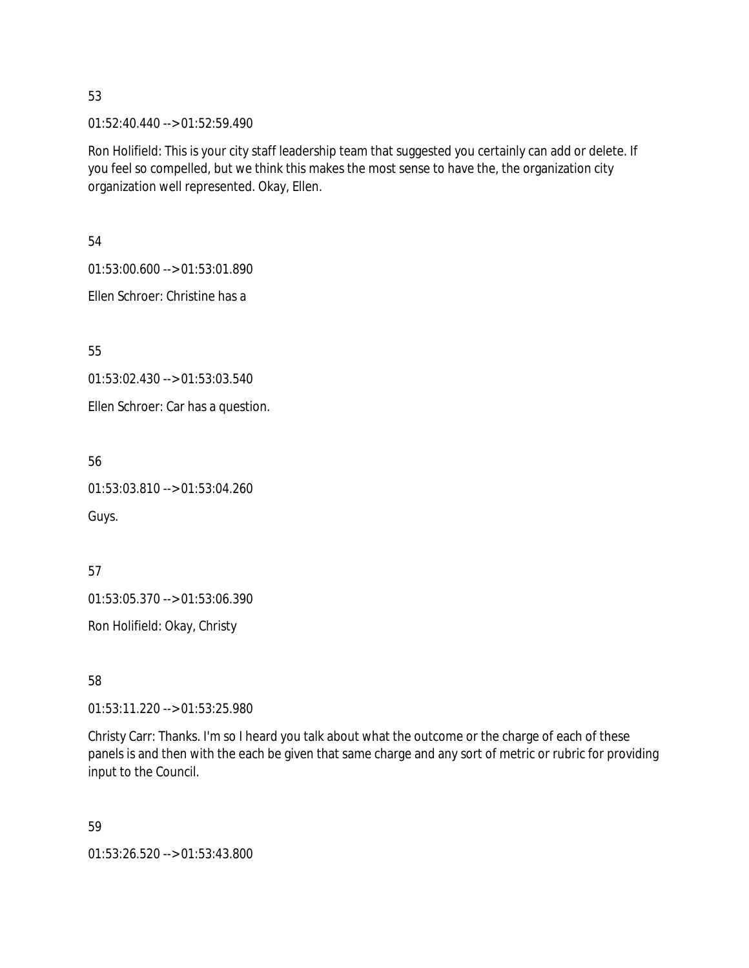01:52:40.440 --> 01:52:59.490

Ron Holifield: This is your city staff leadership team that suggested you certainly can add or delete. If you feel so compelled, but we think this makes the most sense to have the, the organization city organization well represented. Okay, Ellen.

54

01:53:00.600 --> 01:53:01.890

Ellen Schroer: Christine has a

55

01:53:02.430 --> 01:53:03.540

Ellen Schroer: Car has a question.

56

01:53:03.810 --> 01:53:04.260

Guys.

57 01:53:05.370 --> 01:53:06.390

Ron Holifield: Okay, Christy

58

01:53:11.220 --> 01:53:25.980

Christy Carr: Thanks. I'm so I heard you talk about what the outcome or the charge of each of these panels is and then with the each be given that same charge and any sort of metric or rubric for providing input to the Council.

59

01:53:26.520 --> 01:53:43.800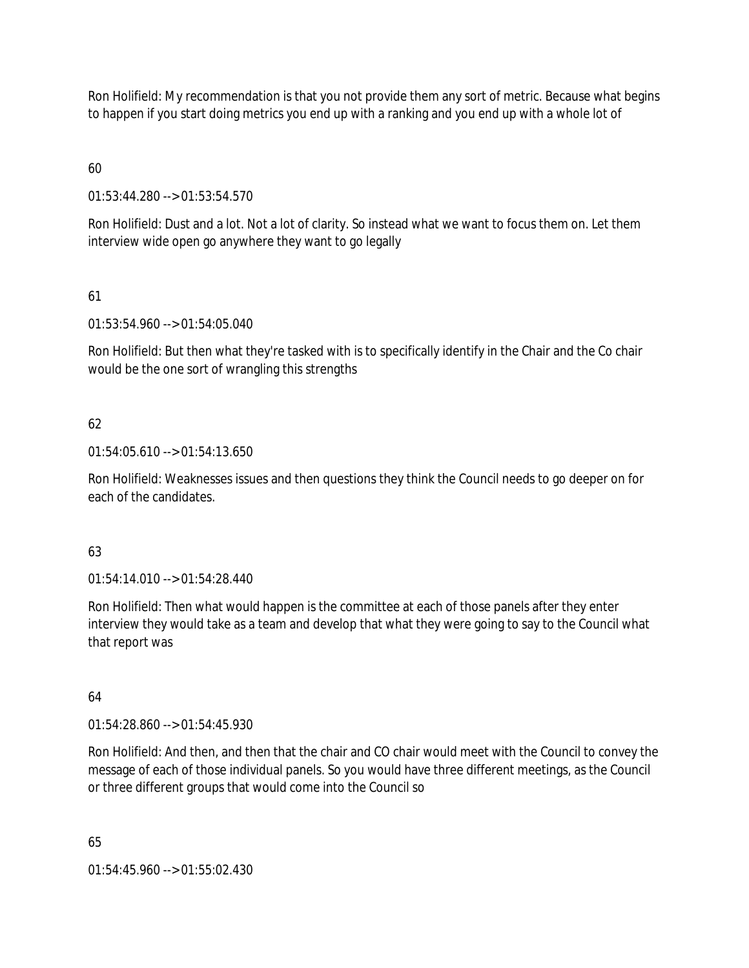Ron Holifield: My recommendation is that you not provide them any sort of metric. Because what begins to happen if you start doing metrics you end up with a ranking and you end up with a whole lot of

# 60

01:53:44.280 --> 01:53:54.570

Ron Holifield: Dust and a lot. Not a lot of clarity. So instead what we want to focus them on. Let them interview wide open go anywhere they want to go legally

# 61

01:53:54.960 --> 01:54:05.040

Ron Holifield: But then what they're tasked with is to specifically identify in the Chair and the Co chair would be the one sort of wrangling this strengths

# 62

01:54:05.610 --> 01:54:13.650

Ron Holifield: Weaknesses issues and then questions they think the Council needs to go deeper on for each of the candidates.

# 63

01:54:14.010 --> 01:54:28.440

Ron Holifield: Then what would happen is the committee at each of those panels after they enter interview they would take as a team and develop that what they were going to say to the Council what that report was

# 64

01:54:28.860 --> 01:54:45.930

Ron Holifield: And then, and then that the chair and CO chair would meet with the Council to convey the message of each of those individual panels. So you would have three different meetings, as the Council or three different groups that would come into the Council so

65

01:54:45.960 --> 01:55:02.430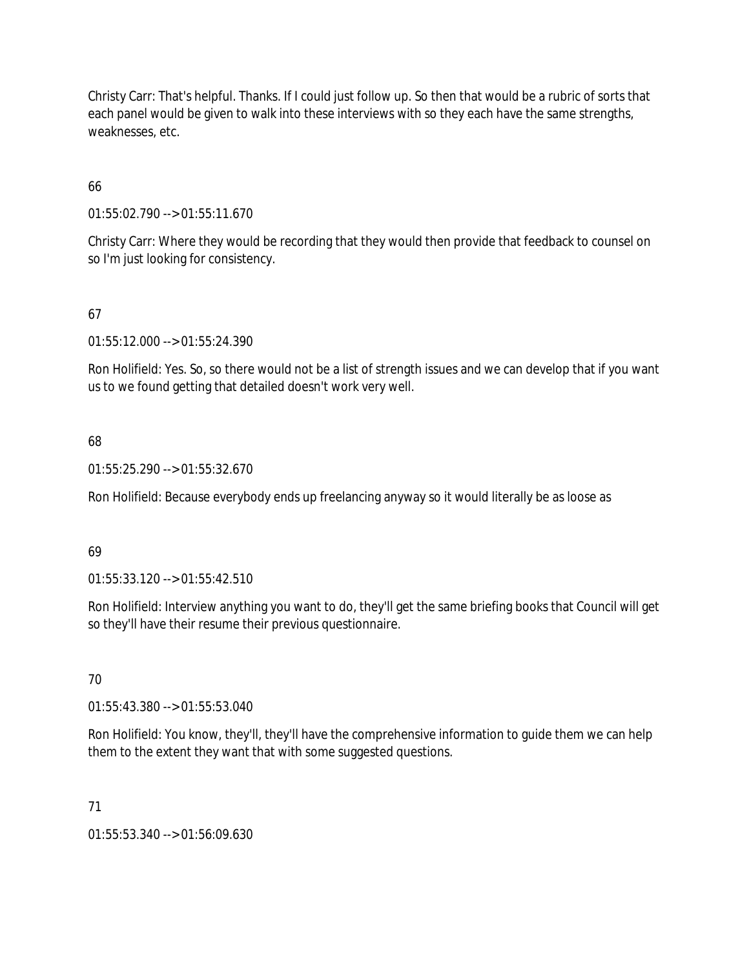Christy Carr: That's helpful. Thanks. If I could just follow up. So then that would be a rubric of sorts that each panel would be given to walk into these interviews with so they each have the same strengths, weaknesses, etc.

# 66

01:55:02.790 --> 01:55:11.670

Christy Carr: Where they would be recording that they would then provide that feedback to counsel on so I'm just looking for consistency.

# 67

01:55:12.000 --> 01:55:24.390

Ron Holifield: Yes. So, so there would not be a list of strength issues and we can develop that if you want us to we found getting that detailed doesn't work very well.

# 68

01:55:25.290 --> 01:55:32.670

Ron Holifield: Because everybody ends up freelancing anyway so it would literally be as loose as

# 69

01:55:33.120 --> 01:55:42.510

Ron Holifield: Interview anything you want to do, they'll get the same briefing books that Council will get so they'll have their resume their previous questionnaire.

# 70

01:55:43.380 --> 01:55:53.040

Ron Holifield: You know, they'll, they'll have the comprehensive information to guide them we can help them to the extent they want that with some suggested questions.

# 71

01:55:53.340 --> 01:56:09.630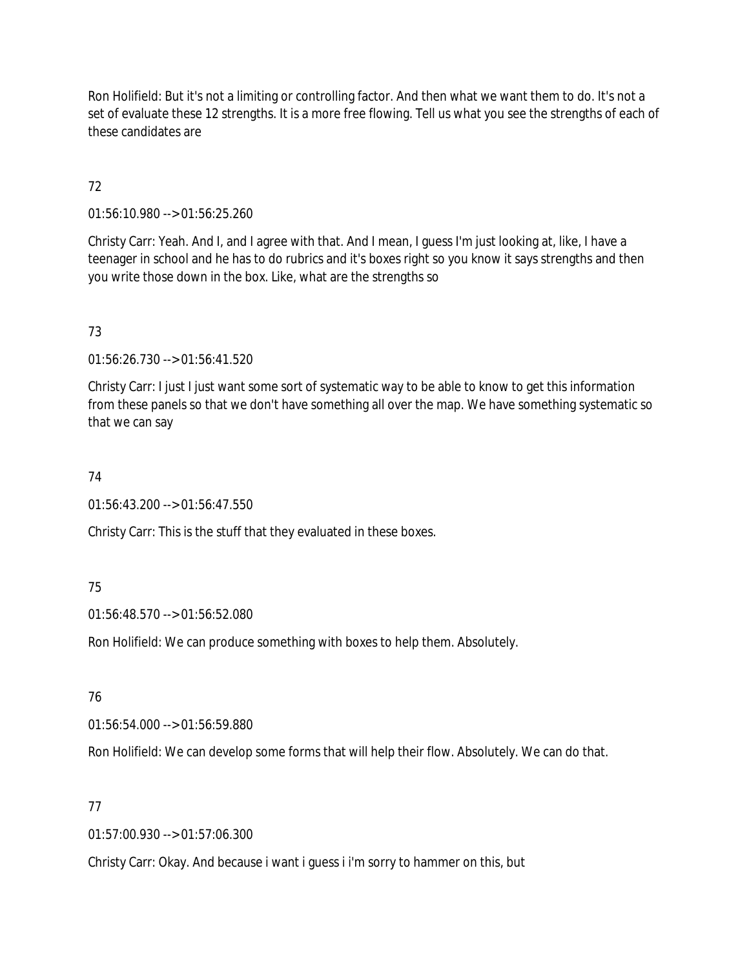Ron Holifield: But it's not a limiting or controlling factor. And then what we want them to do. It's not a set of evaluate these 12 strengths. It is a more free flowing. Tell us what you see the strengths of each of these candidates are

# 72

01:56:10.980 --> 01:56:25.260

Christy Carr: Yeah. And I, and I agree with that. And I mean, I guess I'm just looking at, like, I have a teenager in school and he has to do rubrics and it's boxes right so you know it says strengths and then you write those down in the box. Like, what are the strengths so

# 73

01:56:26.730 --> 01:56:41.520

Christy Carr: I just I just want some sort of systematic way to be able to know to get this information from these panels so that we don't have something all over the map. We have something systematic so that we can say

# 74

01:56:43.200 --> 01:56:47.550

Christy Carr: This is the stuff that they evaluated in these boxes.

# 75

01:56:48.570 --> 01:56:52.080

Ron Holifield: We can produce something with boxes to help them. Absolutely.

# 76

01:56:54.000 --> 01:56:59.880

Ron Holifield: We can develop some forms that will help their flow. Absolutely. We can do that.

# 77

01:57:00.930 --> 01:57:06.300

Christy Carr: Okay. And because i want i guess i i'm sorry to hammer on this, but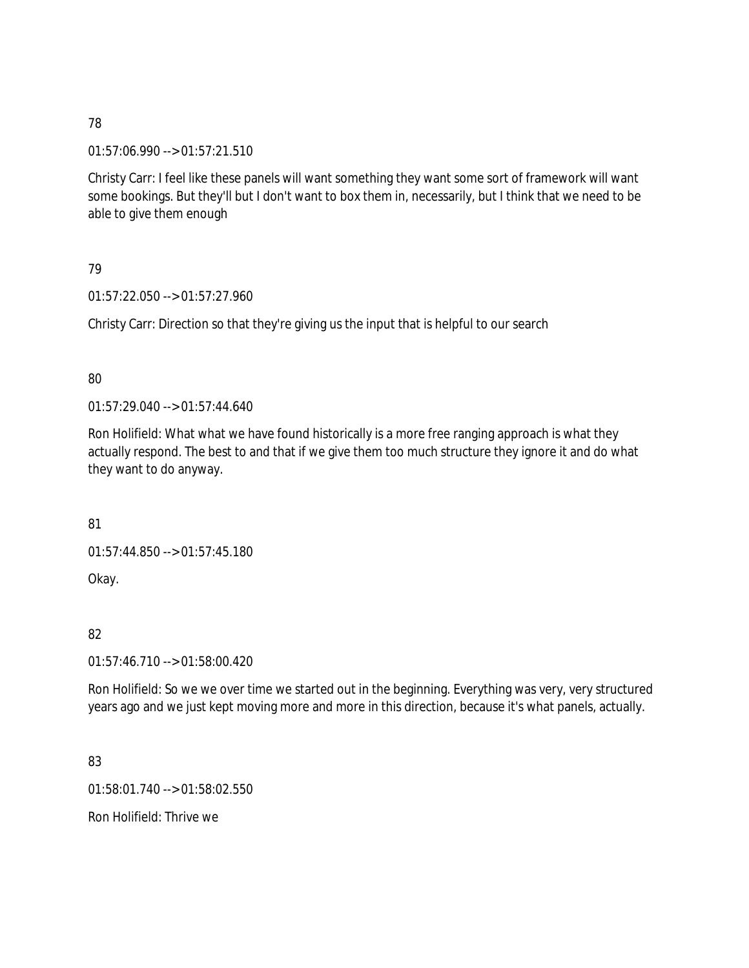01:57:06.990 --> 01:57:21.510

Christy Carr: I feel like these panels will want something they want some sort of framework will want some bookings. But they'll but I don't want to box them in, necessarily, but I think that we need to be able to give them enough

# 79

01:57:22.050 --> 01:57:27.960

Christy Carr: Direction so that they're giving us the input that is helpful to our search

# 80

01:57:29.040 --> 01:57:44.640

Ron Holifield: What what we have found historically is a more free ranging approach is what they actually respond. The best to and that if we give them too much structure they ignore it and do what they want to do anyway.

81

01:57:44.850 --> 01:57:45.180

Okay.

# 82

01:57:46.710 --> 01:58:00.420

Ron Holifield: So we we over time we started out in the beginning. Everything was very, very structured years ago and we just kept moving more and more in this direction, because it's what panels, actually.

# 83

01:58:01.740 --> 01:58:02.550

Ron Holifield: Thrive we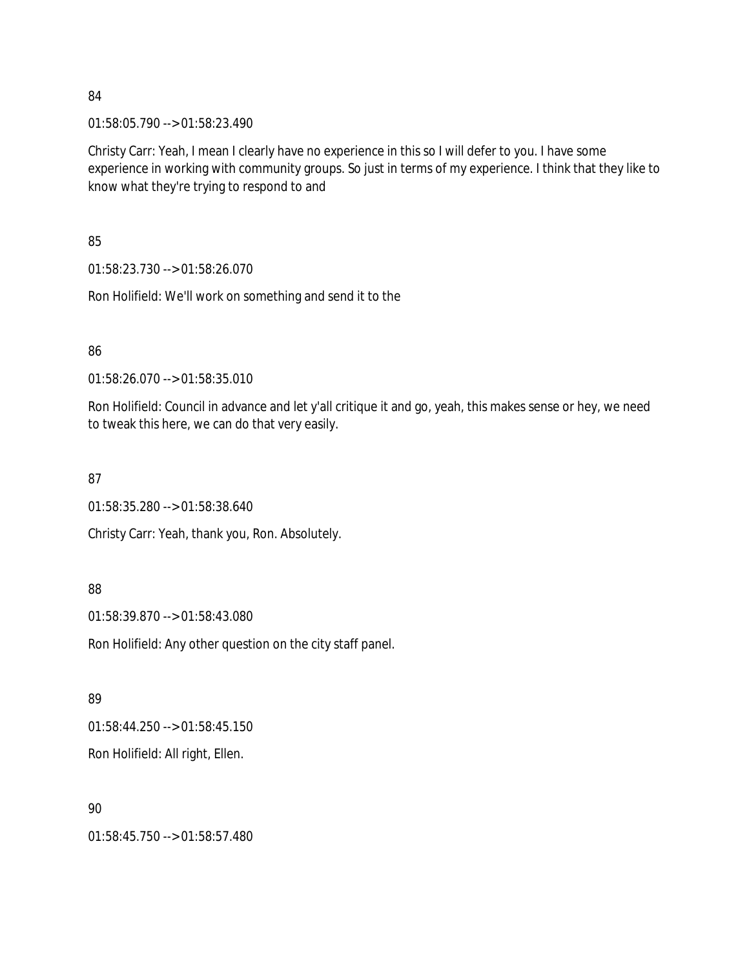01:58:05.790 --> 01:58:23.490

Christy Carr: Yeah, I mean I clearly have no experience in this so I will defer to you. I have some experience in working with community groups. So just in terms of my experience. I think that they like to know what they're trying to respond to and

85

01:58:23.730 --> 01:58:26.070

Ron Holifield: We'll work on something and send it to the

86

01:58:26.070 --> 01:58:35.010

Ron Holifield: Council in advance and let y'all critique it and go, yeah, this makes sense or hey, we need to tweak this here, we can do that very easily.

87

01:58:35.280 --> 01:58:38.640 Christy Carr: Yeah, thank you, Ron. Absolutely.

88

01:58:39.870 --> 01:58:43.080

Ron Holifield: Any other question on the city staff panel.

89

01:58:44.250 --> 01:58:45.150

Ron Holifield: All right, Ellen.

90

01:58:45.750 --> 01:58:57.480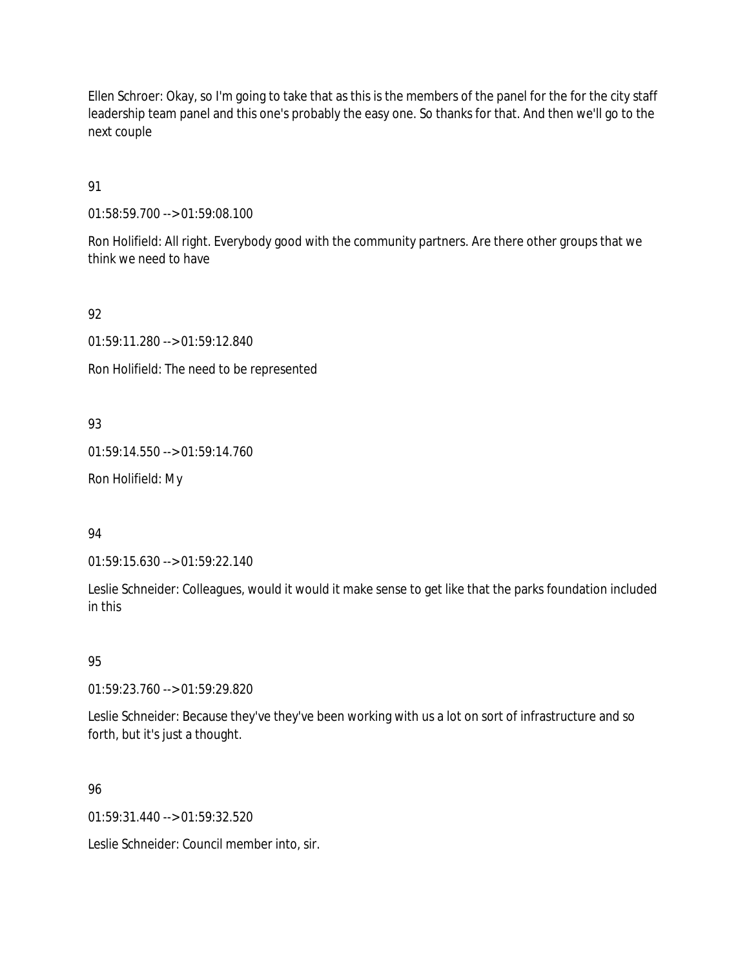Ellen Schroer: Okay, so I'm going to take that as this is the members of the panel for the for the city staff leadership team panel and this one's probably the easy one. So thanks for that. And then we'll go to the next couple

91

01:58:59.700 --> 01:59:08.100

Ron Holifield: All right. Everybody good with the community partners. Are there other groups that we think we need to have

92

01:59:11.280 --> 01:59:12.840

Ron Holifield: The need to be represented

93

01:59:14.550 --> 01:59:14.760

Ron Holifield: My

94

01:59:15.630 --> 01:59:22.140

Leslie Schneider: Colleagues, would it would it make sense to get like that the parks foundation included in this

95

01:59:23.760 --> 01:59:29.820

Leslie Schneider: Because they've they've been working with us a lot on sort of infrastructure and so forth, but it's just a thought.

96

 $01:59:31.440 \rightarrow 01:59:32.520$ 

Leslie Schneider: Council member into, sir.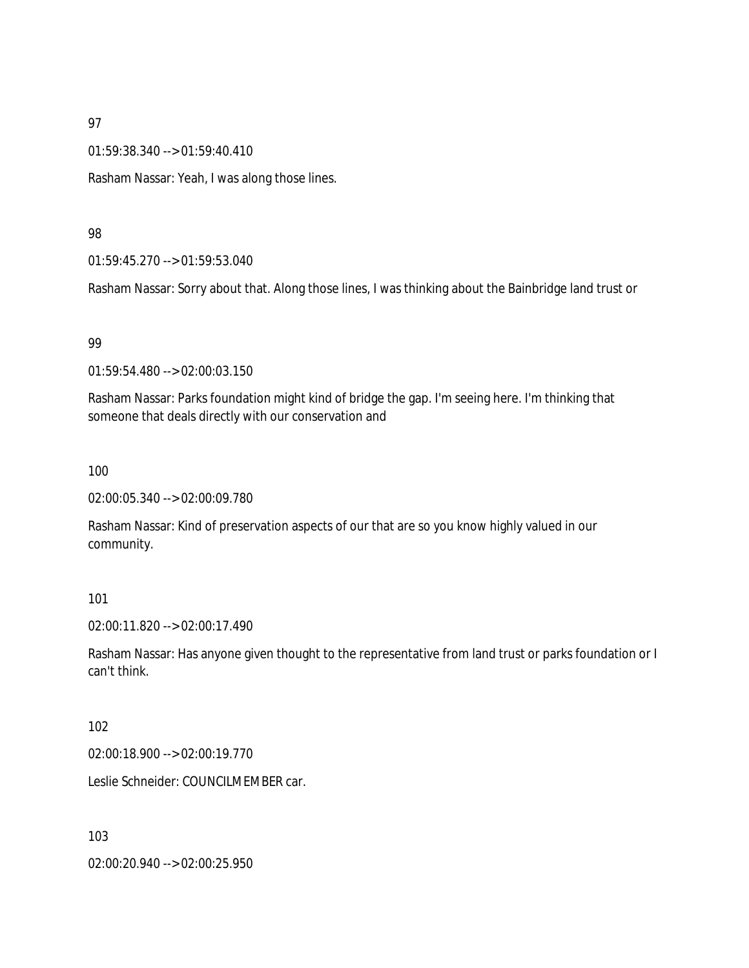01:59:38.340 --> 01:59:40.410

Rasham Nassar: Yeah, I was along those lines.

#### 98

01:59:45.270 --> 01:59:53.040

Rasham Nassar: Sorry about that. Along those lines, I was thinking about the Bainbridge land trust or

### 99

01:59:54.480 --> 02:00:03.150

Rasham Nassar: Parks foundation might kind of bridge the gap. I'm seeing here. I'm thinking that someone that deals directly with our conservation and

#### 100

02:00:05.340 --> 02:00:09.780

Rasham Nassar: Kind of preservation aspects of our that are so you know highly valued in our community.

### 101

02:00:11.820 --> 02:00:17.490

Rasham Nassar: Has anyone given thought to the representative from land trust or parks foundation or I can't think.

### 102

02:00:18.900 --> 02:00:19.770

Leslie Schneider: COUNCILMEMBER car.

103

02:00:20.940 --> 02:00:25.950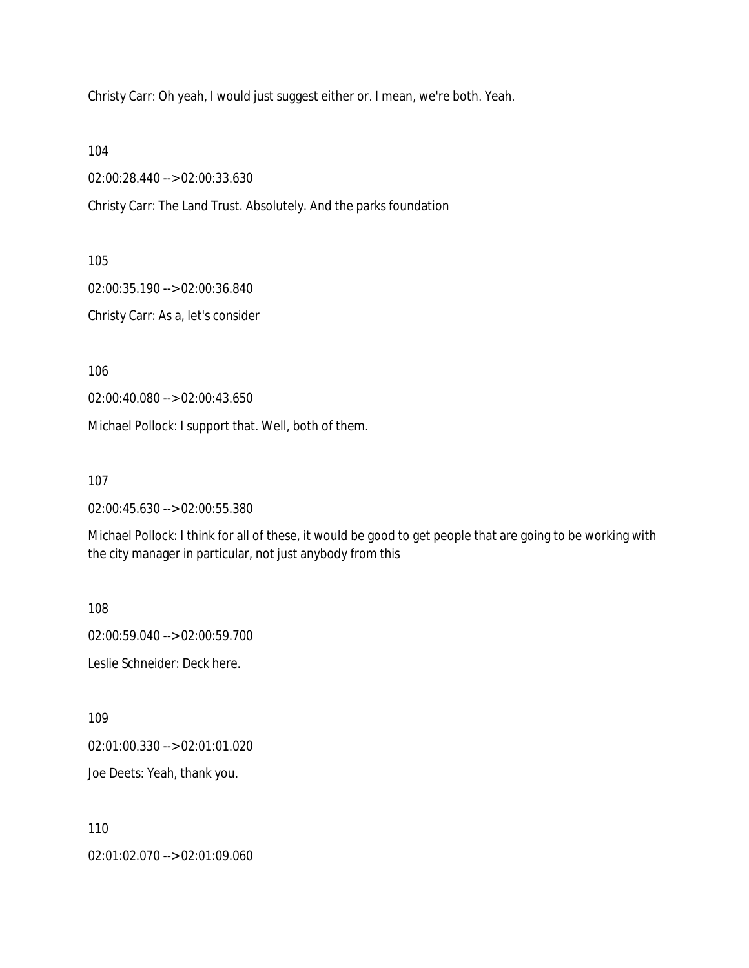Christy Carr: Oh yeah, I would just suggest either or. I mean, we're both. Yeah.

104

02:00:28.440 --> 02:00:33.630

Christy Carr: The Land Trust. Absolutely. And the parks foundation

105

02:00:35.190 --> 02:00:36.840

Christy Carr: As a, let's consider

106

02:00:40.080 --> 02:00:43.650

Michael Pollock: I support that. Well, both of them.

107

02:00:45.630 --> 02:00:55.380

Michael Pollock: I think for all of these, it would be good to get people that are going to be working with the city manager in particular, not just anybody from this

108

02:00:59.040 --> 02:00:59.700

Leslie Schneider: Deck here.

109

02:01:00.330 --> 02:01:01.020

Joe Deets: Yeah, thank you.

110

02:01:02.070 --> 02:01:09.060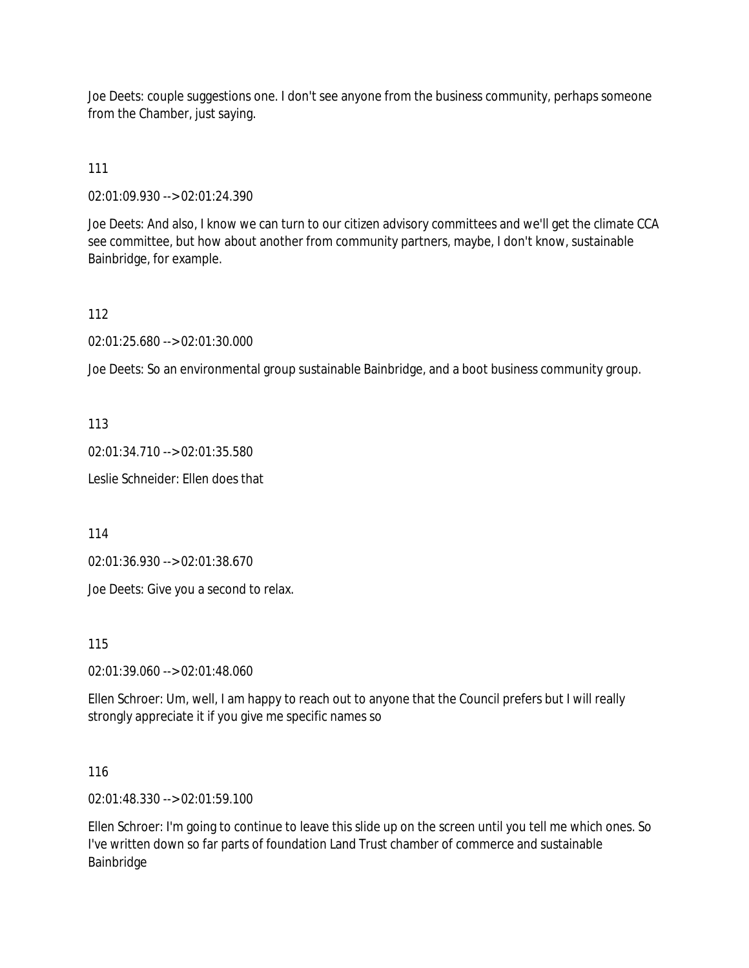Joe Deets: couple suggestions one. I don't see anyone from the business community, perhaps someone from the Chamber, just saying.

111

02:01:09.930 --> 02:01:24.390

Joe Deets: And also, I know we can turn to our citizen advisory committees and we'll get the climate CCA see committee, but how about another from community partners, maybe, I don't know, sustainable Bainbridge, for example.

112

02:01:25.680 --> 02:01:30.000

Joe Deets: So an environmental group sustainable Bainbridge, and a boot business community group.

113

02:01:34.710 --> 02:01:35.580

Leslie Schneider: Ellen does that

114

02:01:36.930 --> 02:01:38.670

Joe Deets: Give you a second to relax.

115

02:01:39.060 --> 02:01:48.060

Ellen Schroer: Um, well, I am happy to reach out to anyone that the Council prefers but I will really strongly appreciate it if you give me specific names so

116

02:01:48.330 --> 02:01:59.100

Ellen Schroer: I'm going to continue to leave this slide up on the screen until you tell me which ones. So I've written down so far parts of foundation Land Trust chamber of commerce and sustainable Bainbridge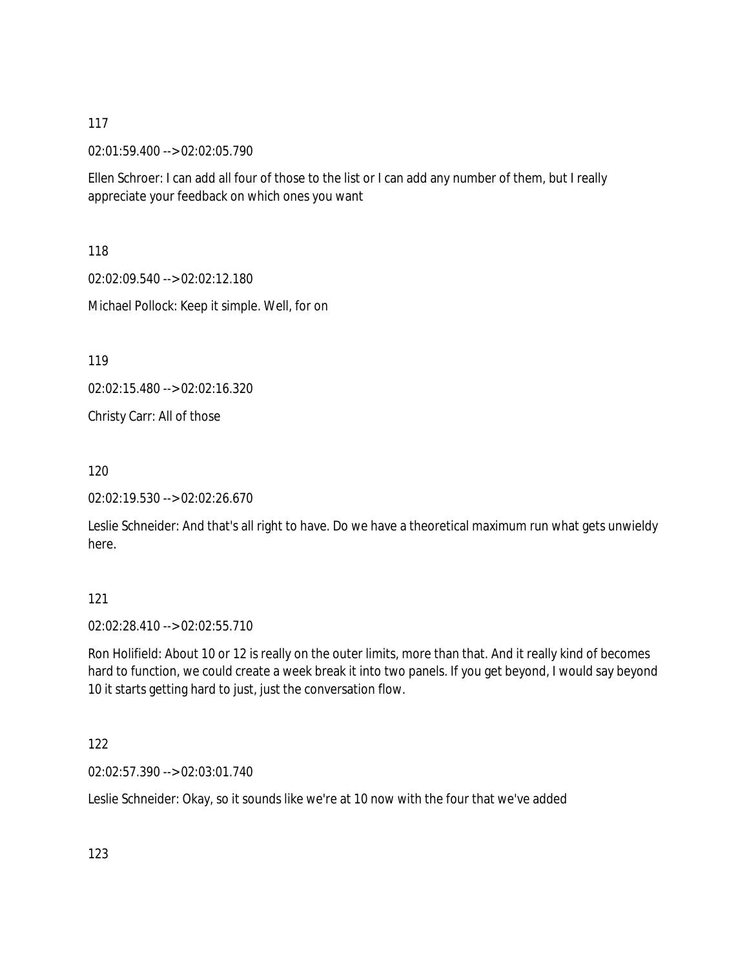02:01:59.400 --> 02:02:05.790

Ellen Schroer: I can add all four of those to the list or I can add any number of them, but I really appreciate your feedback on which ones you want

118

02:02:09.540 --> 02:02:12.180

Michael Pollock: Keep it simple. Well, for on

119

02:02:15.480 --> 02:02:16.320

Christy Carr: All of those

120

02:02:19.530 --> 02:02:26.670

Leslie Schneider: And that's all right to have. Do we have a theoretical maximum run what gets unwieldy here.

### 121

02:02:28.410 --> 02:02:55.710

Ron Holifield: About 10 or 12 is really on the outer limits, more than that. And it really kind of becomes hard to function, we could create a week break it into two panels. If you get beyond, I would say beyond 10 it starts getting hard to just, just the conversation flow.

122

02:02:57.390 --> 02:03:01.740

Leslie Schneider: Okay, so it sounds like we're at 10 now with the four that we've added

123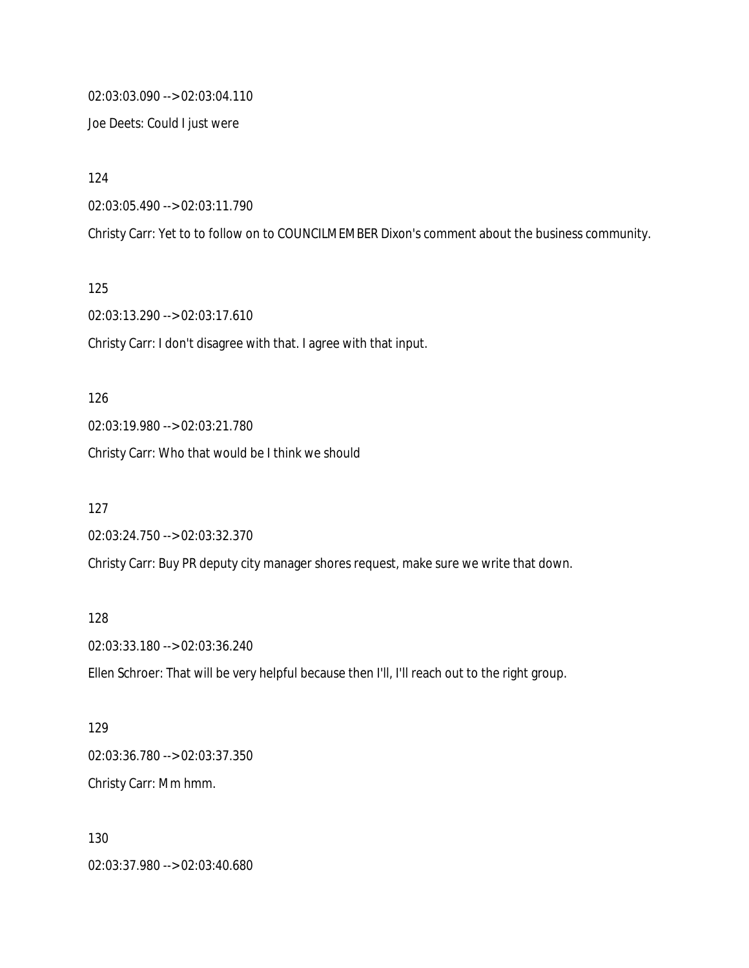02:03:03.090 --> 02:03:04.110

Joe Deets: Could I just were

124

02:03:05.490 --> 02:03:11.790

Christy Carr: Yet to to follow on to COUNCILMEMBER Dixon's comment about the business community.

125

02:03:13.290 --> 02:03:17.610

Christy Carr: I don't disagree with that. I agree with that input.

126 02:03:19.980 --> 02:03:21.780 Christy Carr: Who that would be I think we should

127 02:03:24.750 --> 02:03:32.370 Christy Carr: Buy PR deputy city manager shores request, make sure we write that down.

128

02:03:33.180 --> 02:03:36.240

Ellen Schroer: That will be very helpful because then I'll, I'll reach out to the right group.

129 02:03:36.780 --> 02:03:37.350 Christy Carr: Mm hmm.

130 02:03:37.980 --> 02:03:40.680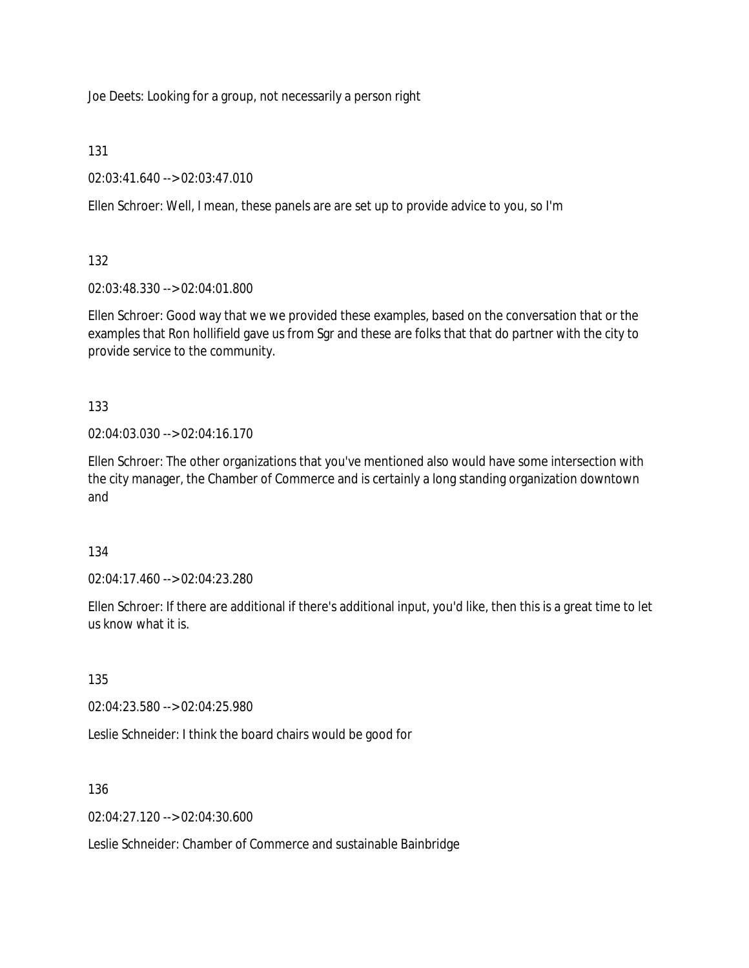Joe Deets: Looking for a group, not necessarily a person right

131

02:03:41.640 --> 02:03:47.010

Ellen Schroer: Well, I mean, these panels are are set up to provide advice to you, so I'm

132

02:03:48.330 --> 02:04:01.800

Ellen Schroer: Good way that we we provided these examples, based on the conversation that or the examples that Ron hollifield gave us from Sgr and these are folks that that do partner with the city to provide service to the community.

133

02:04:03.030 --> 02:04:16.170

Ellen Schroer: The other organizations that you've mentioned also would have some intersection with the city manager, the Chamber of Commerce and is certainly a long standing organization downtown and

134

02:04:17.460 --> 02:04:23.280

Ellen Schroer: If there are additional if there's additional input, you'd like, then this is a great time to let us know what it is.

135

02:04:23.580 --> 02:04:25.980

Leslie Schneider: I think the board chairs would be good for

136

02:04:27.120 --> 02:04:30.600

Leslie Schneider: Chamber of Commerce and sustainable Bainbridge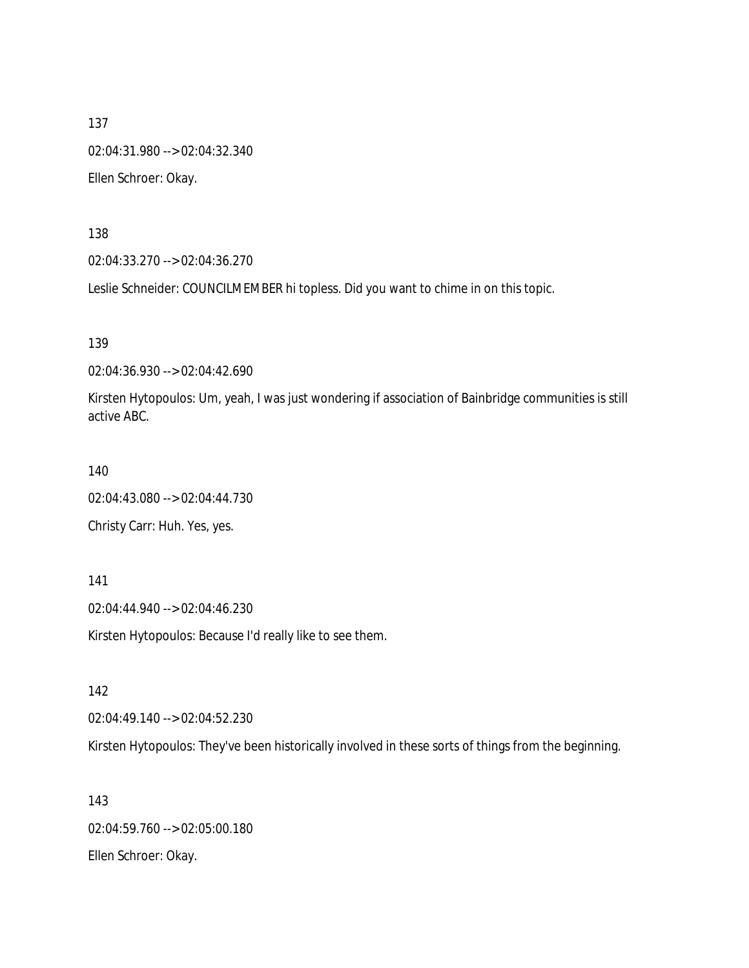137 02:04:31.980 --> 02:04:32.340 Ellen Schroer: Okay.

138

02:04:33.270 --> 02:04:36.270

Leslie Schneider: COUNCILMEMBER hi topless. Did you want to chime in on this topic.

139

02:04:36.930 --> 02:04:42.690

Kirsten Hytopoulos: Um, yeah, I was just wondering if association of Bainbridge communities is still active ABC.

140

02:04:43.080 --> 02:04:44.730

Christy Carr: Huh. Yes, yes.

141

02:04:44.940 --> 02:04:46.230

Kirsten Hytopoulos: Because I'd really like to see them.

142

02:04:49.140 --> 02:04:52.230

Kirsten Hytopoulos: They've been historically involved in these sorts of things from the beginning.

143 02:04:59.760 --> 02:05:00.180 Ellen Schroer: Okay.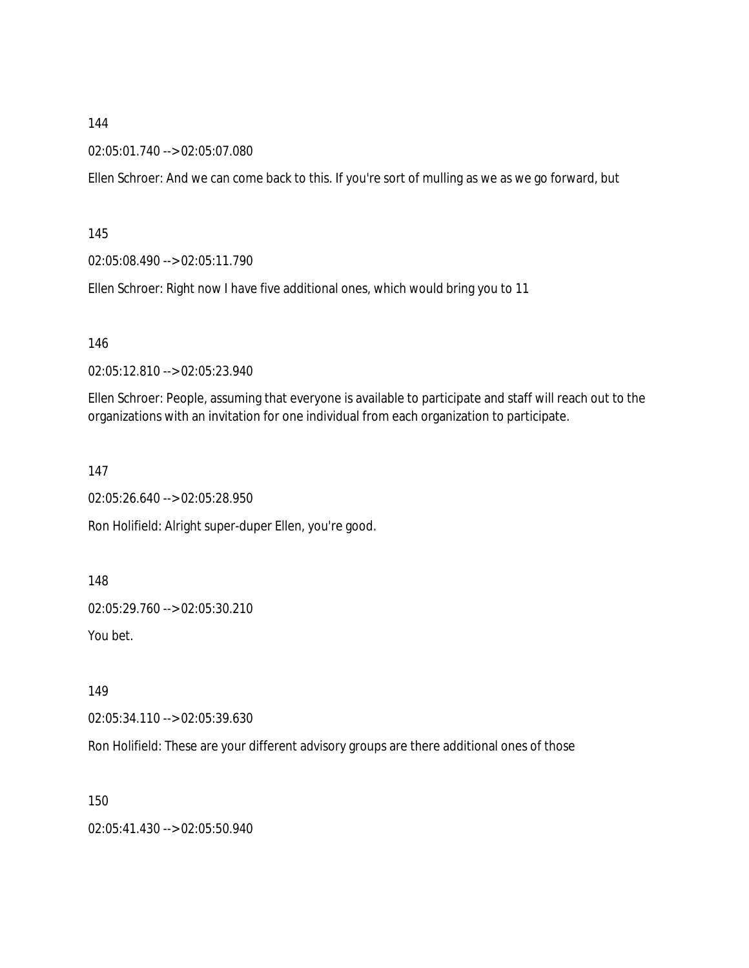02:05:01.740 --> 02:05:07.080

Ellen Schroer: And we can come back to this. If you're sort of mulling as we as we go forward, but

145

02:05:08.490 --> 02:05:11.790

Ellen Schroer: Right now I have five additional ones, which would bring you to 11

146

02:05:12.810 --> 02:05:23.940

Ellen Schroer: People, assuming that everyone is available to participate and staff will reach out to the organizations with an invitation for one individual from each organization to participate.

147

02:05:26.640 --> 02:05:28.950

Ron Holifield: Alright super-duper Ellen, you're good.

148

02:05:29.760 --> 02:05:30.210

You bet.

149

02:05:34.110 --> 02:05:39.630

Ron Holifield: These are your different advisory groups are there additional ones of those

150

02:05:41.430 --> 02:05:50.940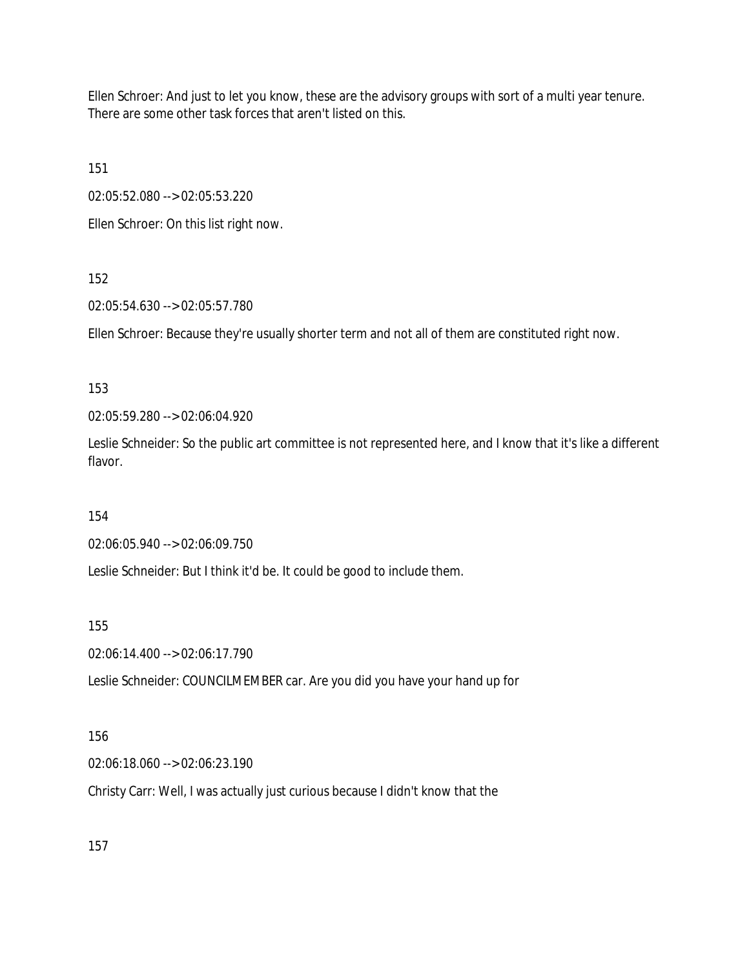Ellen Schroer: And just to let you know, these are the advisory groups with sort of a multi year tenure. There are some other task forces that aren't listed on this.

151

02:05:52.080 --> 02:05:53.220

Ellen Schroer: On this list right now.

### 152

02:05:54.630 --> 02:05:57.780

Ellen Schroer: Because they're usually shorter term and not all of them are constituted right now.

### 153

02:05:59.280 --> 02:06:04.920

Leslie Schneider: So the public art committee is not represented here, and I know that it's like a different flavor.

### 154

02:06:05.940 --> 02:06:09.750

Leslie Schneider: But I think it'd be. It could be good to include them.

### 155

02:06:14.400 --> 02:06:17.790

Leslie Schneider: COUNCILMEMBER car. Are you did you have your hand up for

# 156

02:06:18.060 --> 02:06:23.190

Christy Carr: Well, I was actually just curious because I didn't know that the

157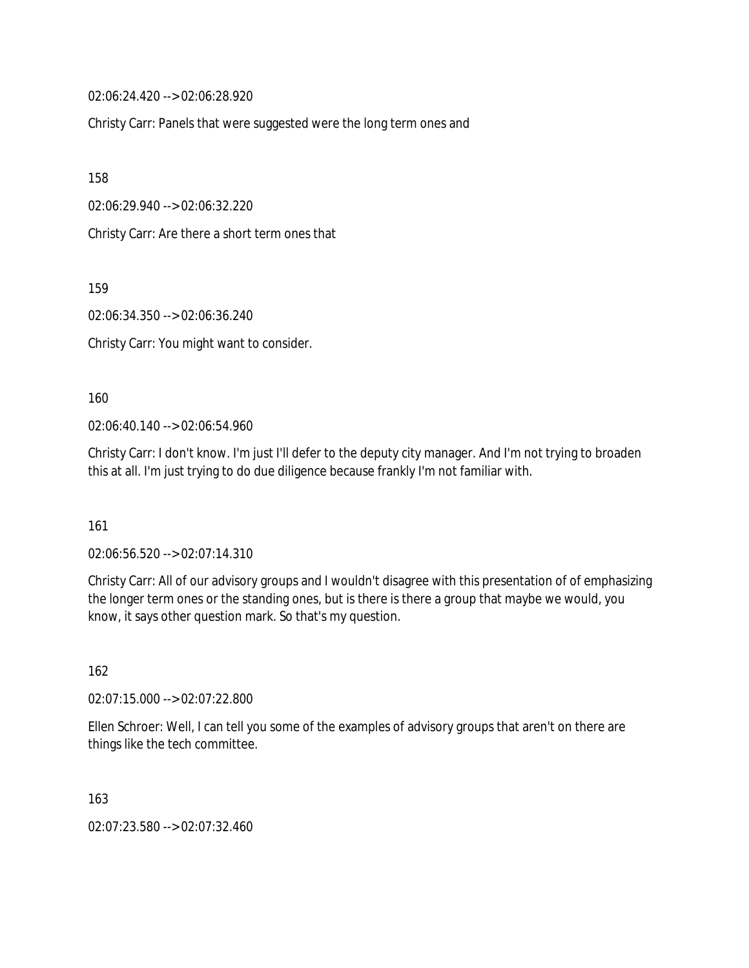02:06:24.420 --> 02:06:28.920

Christy Carr: Panels that were suggested were the long term ones and

158

02:06:29.940 --> 02:06:32.220

Christy Carr: Are there a short term ones that

159

02:06:34.350 --> 02:06:36.240

Christy Carr: You might want to consider.

160

02:06:40.140 --> 02:06:54.960

Christy Carr: I don't know. I'm just I'll defer to the deputy city manager. And I'm not trying to broaden this at all. I'm just trying to do due diligence because frankly I'm not familiar with.

161

02:06:56.520 --> 02:07:14.310

Christy Carr: All of our advisory groups and I wouldn't disagree with this presentation of of emphasizing the longer term ones or the standing ones, but is there is there a group that maybe we would, you know, it says other question mark. So that's my question.

162

02:07:15.000 --> 02:07:22.800

Ellen Schroer: Well, I can tell you some of the examples of advisory groups that aren't on there are things like the tech committee.

163

02:07:23.580 --> 02:07:32.460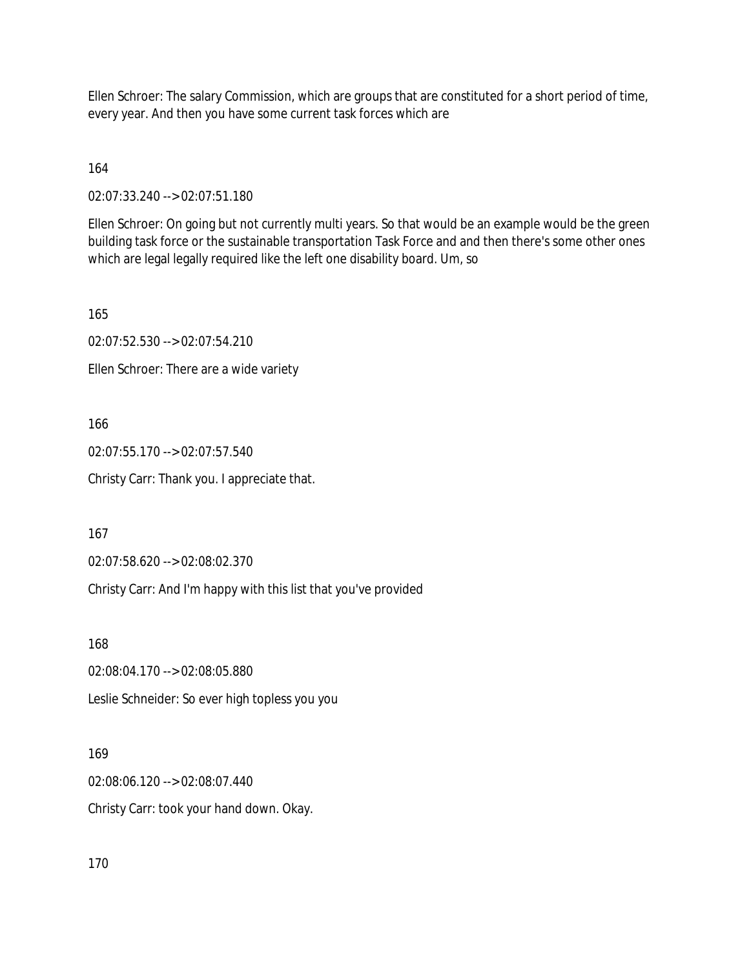Ellen Schroer: The salary Commission, which are groups that are constituted for a short period of time, every year. And then you have some current task forces which are

164

02:07:33.240 --> 02:07:51.180

Ellen Schroer: On going but not currently multi years. So that would be an example would be the green building task force or the sustainable transportation Task Force and and then there's some other ones which are legal legally required like the left one disability board. Um, so

165

02:07:52.530 --> 02:07:54.210

Ellen Schroer: There are a wide variety

166

02:07:55.170 --> 02:07:57.540

Christy Carr: Thank you. I appreciate that.

167

02:07:58.620 --> 02:08:02.370

Christy Carr: And I'm happy with this list that you've provided

168

02:08:04.170 --> 02:08:05.880

Leslie Schneider: So ever high topless you you

169

02:08:06.120 --> 02:08:07.440 Christy Carr: took your hand down. Okay.

170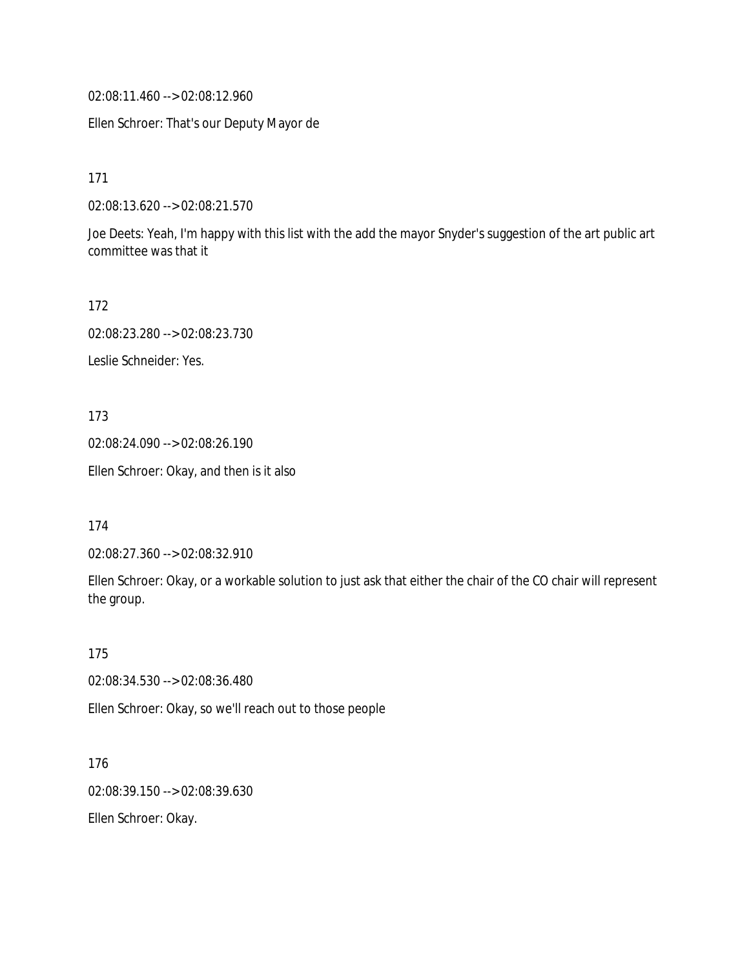02:08:11.460 --> 02:08:12.960

Ellen Schroer: That's our Deputy Mayor de

171

02:08:13.620 --> 02:08:21.570

Joe Deets: Yeah, I'm happy with this list with the add the mayor Snyder's suggestion of the art public art committee was that it

172

02:08:23.280 --> 02:08:23.730

Leslie Schneider: Yes.

173

02:08:24.090 --> 02:08:26.190

Ellen Schroer: Okay, and then is it also

174

02:08:27.360 --> 02:08:32.910

Ellen Schroer: Okay, or a workable solution to just ask that either the chair of the CO chair will represent the group.

175

02:08:34.530 --> 02:08:36.480

Ellen Schroer: Okay, so we'll reach out to those people

176 02:08:39.150 --> 02:08:39.630

Ellen Schroer: Okay.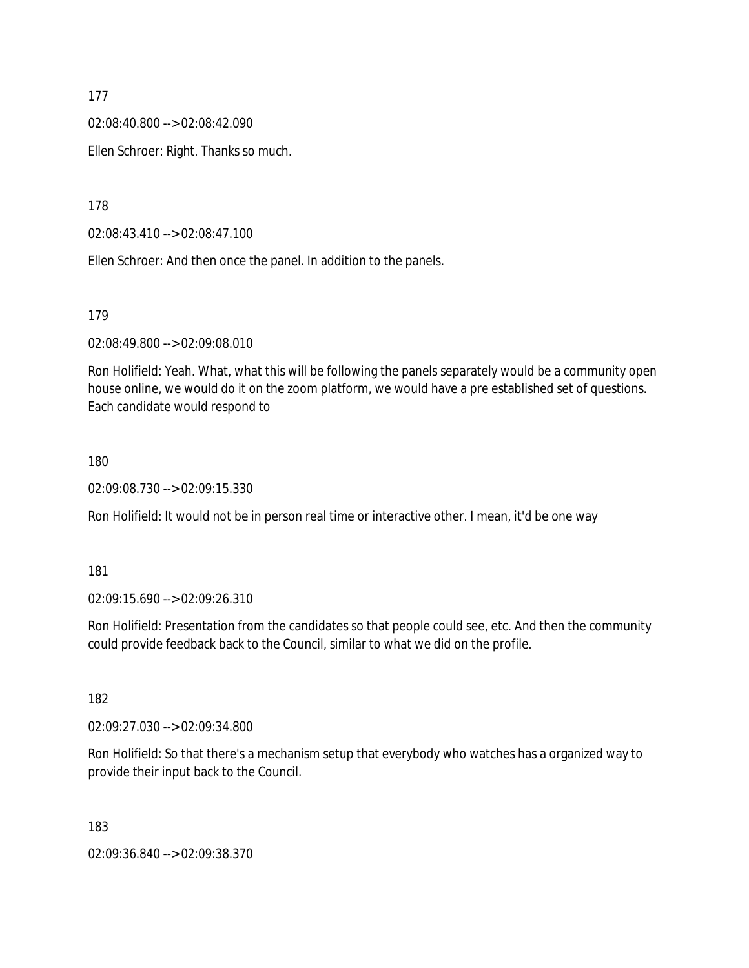02:08:40.800 --> 02:08:42.090

Ellen Schroer: Right. Thanks so much.

178

02:08:43.410 --> 02:08:47.100

Ellen Schroer: And then once the panel. In addition to the panels.

179

02:08:49.800 --> 02:09:08.010

Ron Holifield: Yeah. What, what this will be following the panels separately would be a community open house online, we would do it on the zoom platform, we would have a pre established set of questions. Each candidate would respond to

#### 180

02:09:08.730 --> 02:09:15.330

Ron Holifield: It would not be in person real time or interactive other. I mean, it'd be one way

181

02:09:15.690 --> 02:09:26.310

Ron Holifield: Presentation from the candidates so that people could see, etc. And then the community could provide feedback back to the Council, similar to what we did on the profile.

182

02:09:27.030 --> 02:09:34.800

Ron Holifield: So that there's a mechanism setup that everybody who watches has a organized way to provide their input back to the Council.

183

02:09:36.840 --> 02:09:38.370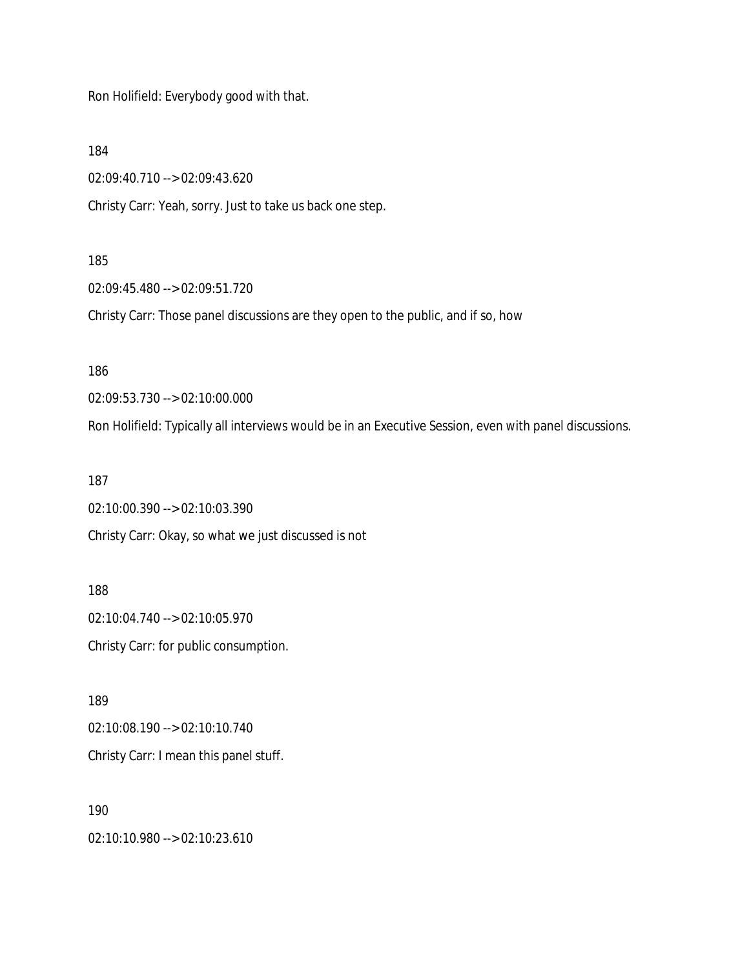Ron Holifield: Everybody good with that.

184

02:09:40.710 --> 02:09:43.620

Christy Carr: Yeah, sorry. Just to take us back one step.

#### 185

02:09:45.480 --> 02:09:51.720

Christy Carr: Those panel discussions are they open to the public, and if so, how

186

02:09:53.730 --> 02:10:00.000

Ron Holifield: Typically all interviews would be in an Executive Session, even with panel discussions.

187

02:10:00.390 --> 02:10:03.390 Christy Carr: Okay, so what we just discussed is not

188 02:10:04.740 --> 02:10:05.970 Christy Carr: for public consumption.

189 02:10:08.190 --> 02:10:10.740 Christy Carr: I mean this panel stuff.

190

02:10:10.980 --> 02:10:23.610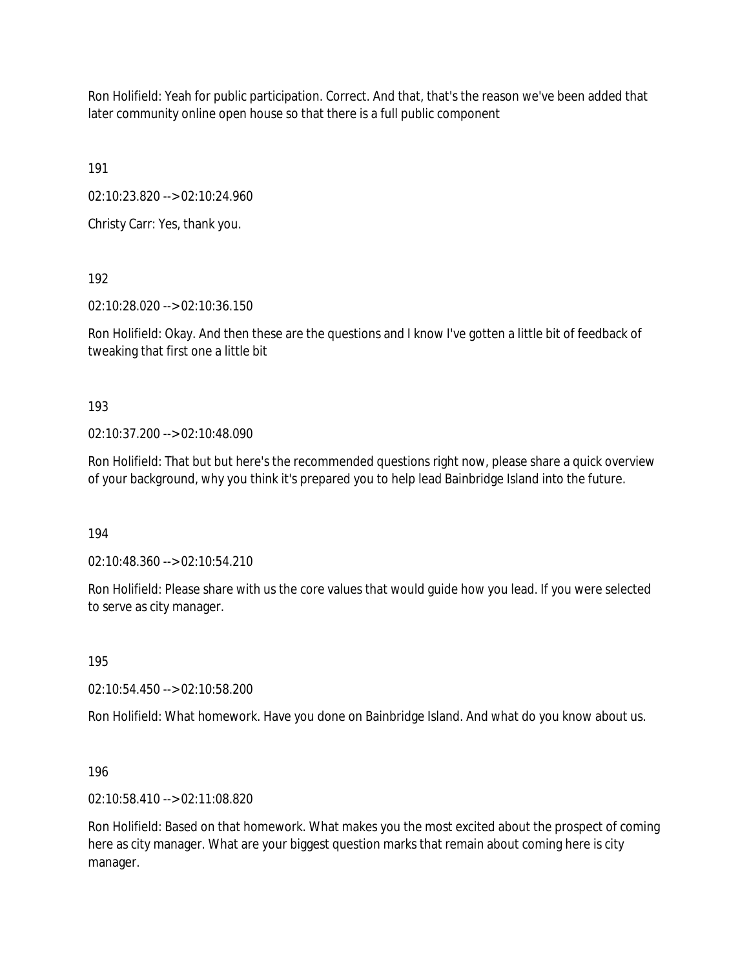Ron Holifield: Yeah for public participation. Correct. And that, that's the reason we've been added that later community online open house so that there is a full public component

191

02:10:23.820 --> 02:10:24.960

Christy Carr: Yes, thank you.

192

02:10:28.020 --> 02:10:36.150

Ron Holifield: Okay. And then these are the questions and I know I've gotten a little bit of feedback of tweaking that first one a little bit

193

02:10:37.200 --> 02:10:48.090

Ron Holifield: That but but here's the recommended questions right now, please share a quick overview of your background, why you think it's prepared you to help lead Bainbridge Island into the future.

194

02:10:48.360 --> 02:10:54.210

Ron Holifield: Please share with us the core values that would guide how you lead. If you were selected to serve as city manager.

195

02:10:54.450 --> 02:10:58.200

Ron Holifield: What homework. Have you done on Bainbridge Island. And what do you know about us.

196

02:10:58.410 --> 02:11:08.820

Ron Holifield: Based on that homework. What makes you the most excited about the prospect of coming here as city manager. What are your biggest question marks that remain about coming here is city manager.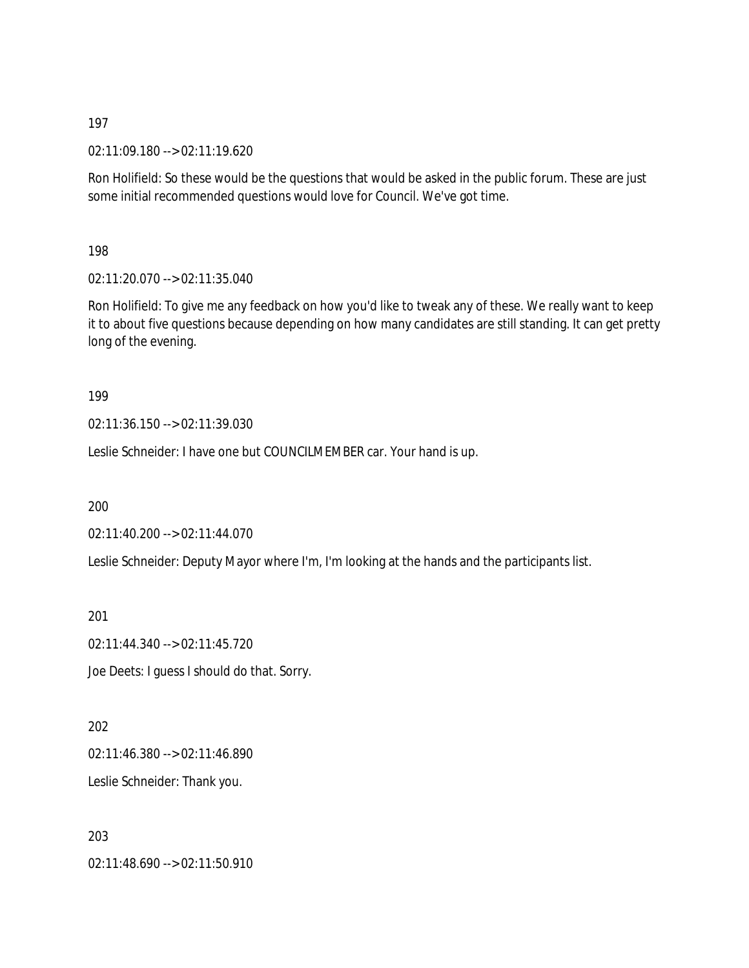02:11:09.180 --> 02:11:19.620

Ron Holifield: So these would be the questions that would be asked in the public forum. These are just some initial recommended questions would love for Council. We've got time.

198

02:11:20.070 --> 02:11:35.040

Ron Holifield: To give me any feedback on how you'd like to tweak any of these. We really want to keep it to about five questions because depending on how many candidates are still standing. It can get pretty long of the evening.

### 199

02:11:36.150 --> 02:11:39.030

Leslie Schneider: I have one but COUNCILMEMBER car. Your hand is up.

200

02:11:40.200 --> 02:11:44.070

Leslie Schneider: Deputy Mayor where I'm, I'm looking at the hands and the participants list.

201

02:11:44.340 --> 02:11:45.720

Joe Deets: I guess I should do that. Sorry.

202 02:11:46.380 --> 02:11:46.890 Leslie Schneider: Thank you.

203 02:11:48.690 --> 02:11:50.910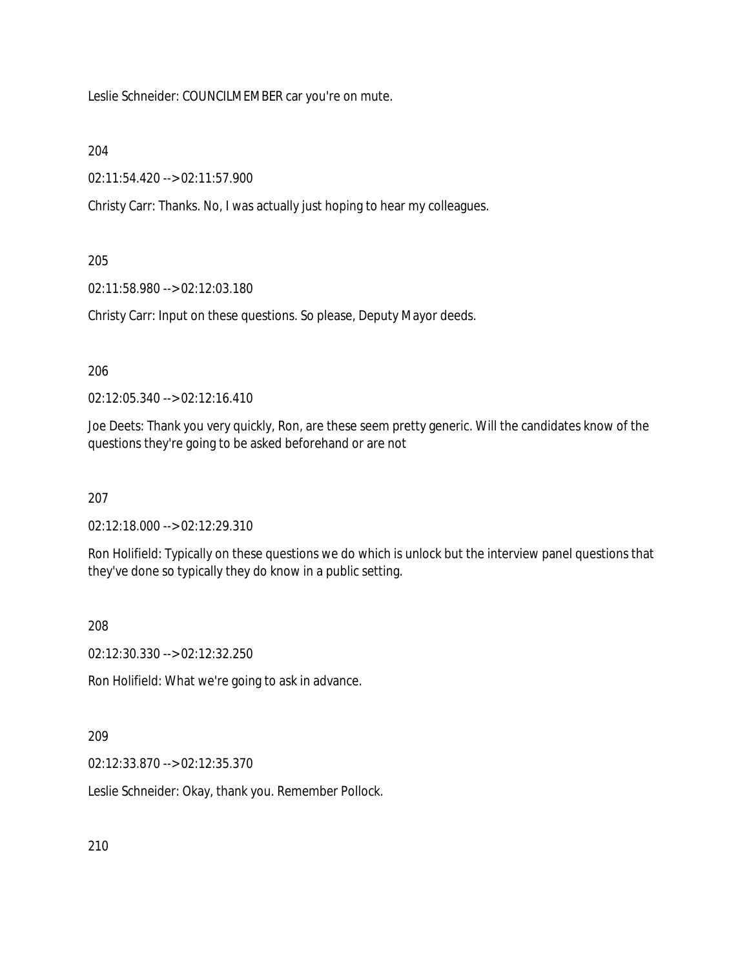Leslie Schneider: COUNCILMEMBER car you're on mute.

### 204

02:11:54.420 --> 02:11:57.900

Christy Carr: Thanks. No, I was actually just hoping to hear my colleagues.

### 205

02:11:58.980 --> 02:12:03.180

Christy Carr: Input on these questions. So please, Deputy Mayor deeds.

# 206

02:12:05.340 --> 02:12:16.410

Joe Deets: Thank you very quickly, Ron, are these seem pretty generic. Will the candidates know of the questions they're going to be asked beforehand or are not

### 207

02:12:18.000 --> 02:12:29.310

Ron Holifield: Typically on these questions we do which is unlock but the interview panel questions that they've done so typically they do know in a public setting.

### 208

02:12:30.330 --> 02:12:32.250

Ron Holifield: What we're going to ask in advance.

# 209

02:12:33.870 --> 02:12:35.370

Leslie Schneider: Okay, thank you. Remember Pollock.

210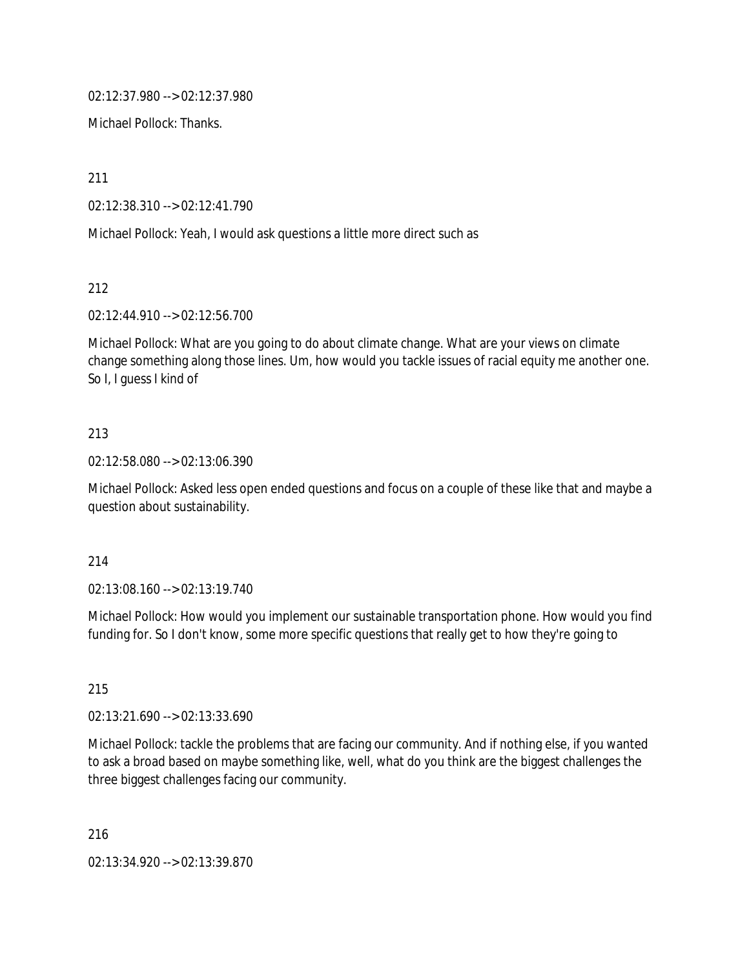02:12:37.980 --> 02:12:37.980

Michael Pollock: Thanks.

211

02:12:38.310 --> 02:12:41.790

Michael Pollock: Yeah, I would ask questions a little more direct such as

212

02:12:44.910 --> 02:12:56.700

Michael Pollock: What are you going to do about climate change. What are your views on climate change something along those lines. Um, how would you tackle issues of racial equity me another one. So I, I guess I kind of

### 213

02:12:58.080 --> 02:13:06.390

Michael Pollock: Asked less open ended questions and focus on a couple of these like that and maybe a question about sustainability.

#### 214

02:13:08.160 --> 02:13:19.740

Michael Pollock: How would you implement our sustainable transportation phone. How would you find funding for. So I don't know, some more specific questions that really get to how they're going to

215

02:13:21.690 --> 02:13:33.690

Michael Pollock: tackle the problems that are facing our community. And if nothing else, if you wanted to ask a broad based on maybe something like, well, what do you think are the biggest challenges the three biggest challenges facing our community.

216

02:13:34.920 --> 02:13:39.870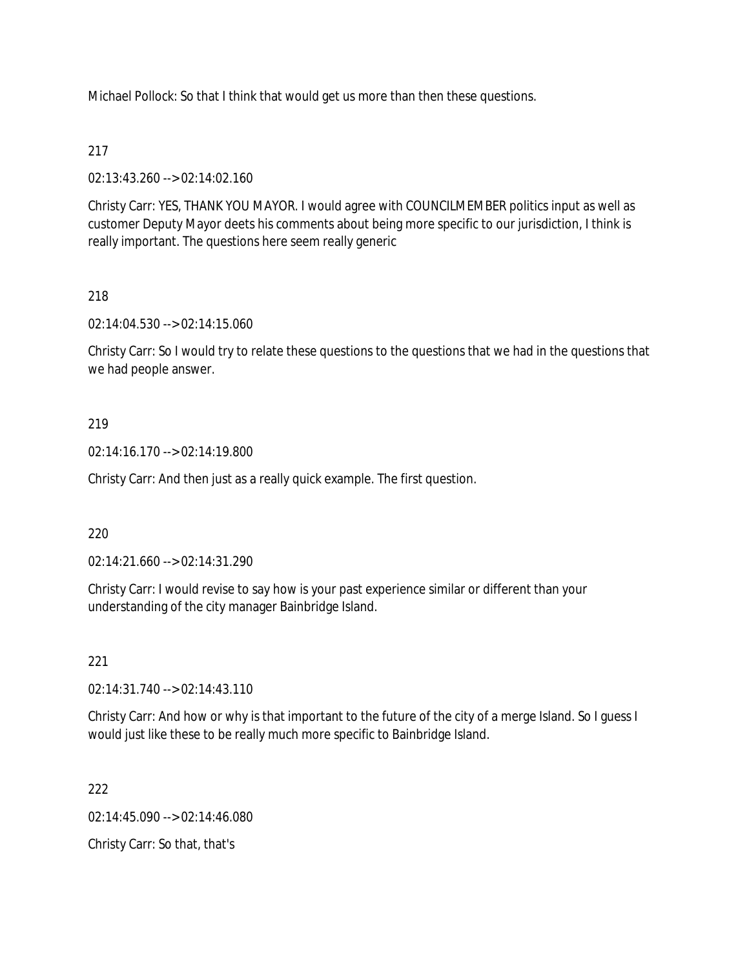Michael Pollock: So that I think that would get us more than then these questions.

# 217

02:13:43.260 --> 02:14:02.160

Christy Carr: YES, THANK YOU MAYOR. I would agree with COUNCILMEMBER politics input as well as customer Deputy Mayor deets his comments about being more specific to our jurisdiction, I think is really important. The questions here seem really generic

# 218

02:14:04.530 --> 02:14:15.060

Christy Carr: So I would try to relate these questions to the questions that we had in the questions that we had people answer.

# 219

02:14:16.170 --> 02:14:19.800

Christy Carr: And then just as a really quick example. The first question.

# 220

02:14:21.660 --> 02:14:31.290

Christy Carr: I would revise to say how is your past experience similar or different than your understanding of the city manager Bainbridge Island.

# 221

02:14:31.740 --> 02:14:43.110

Christy Carr: And how or why is that important to the future of the city of a merge Island. So I guess I would just like these to be really much more specific to Bainbridge Island.

# 222

 $02.14.45.090 -> 02.14.46.080$ 

Christy Carr: So that, that's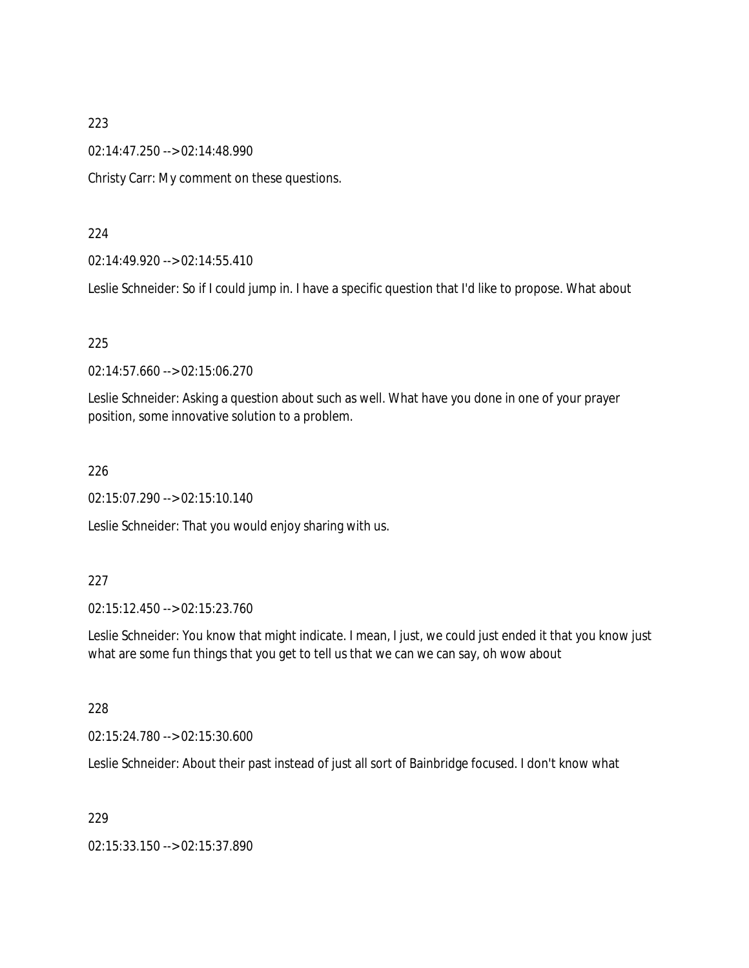02:14:47.250 --> 02:14:48.990

Christy Carr: My comment on these questions.

#### 224

02:14:49.920 --> 02:14:55.410

Leslie Schneider: So if I could jump in. I have a specific question that I'd like to propose. What about

### 225

02:14:57.660 --> 02:15:06.270

Leslie Schneider: Asking a question about such as well. What have you done in one of your prayer position, some innovative solution to a problem.

### 226

02:15:07.290 --> 02:15:10.140

Leslie Schneider: That you would enjoy sharing with us.

### 227

02:15:12.450 --> 02:15:23.760

Leslie Schneider: You know that might indicate. I mean, I just, we could just ended it that you know just what are some fun things that you get to tell us that we can we can say, oh wow about

### 228

02:15:24.780 --> 02:15:30.600

Leslie Schneider: About their past instead of just all sort of Bainbridge focused. I don't know what

### 229

02:15:33.150 --> 02:15:37.890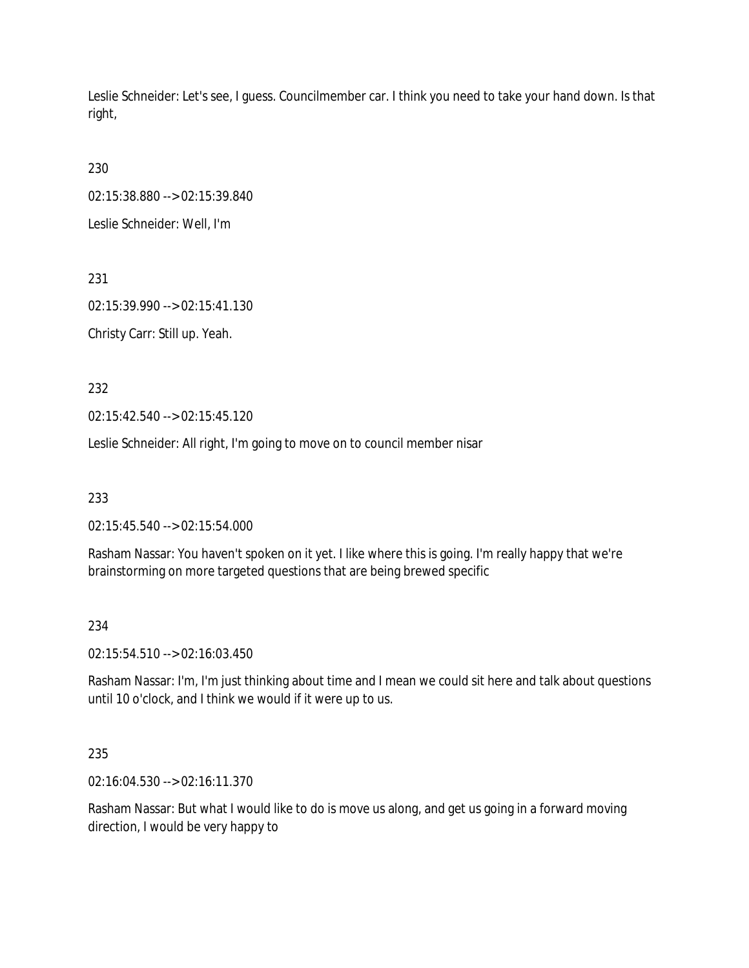Leslie Schneider: Let's see, I guess. Councilmember car. I think you need to take your hand down. Is that right,

230

02:15:38.880 --> 02:15:39.840

Leslie Schneider: Well, I'm

231

02:15:39.990 --> 02:15:41.130 Christy Carr: Still up. Yeah.

232

02:15:42.540 --> 02:15:45.120

Leslie Schneider: All right, I'm going to move on to council member nisar

233

02:15:45.540 --> 02:15:54.000

Rasham Nassar: You haven't spoken on it yet. I like where this is going. I'm really happy that we're brainstorming on more targeted questions that are being brewed specific

# 234

02:15:54.510 --> 02:16:03.450

Rasham Nassar: I'm, I'm just thinking about time and I mean we could sit here and talk about questions until 10 o'clock, and I think we would if it were up to us.

# 235

02:16:04.530 --> 02:16:11.370

Rasham Nassar: But what I would like to do is move us along, and get us going in a forward moving direction, I would be very happy to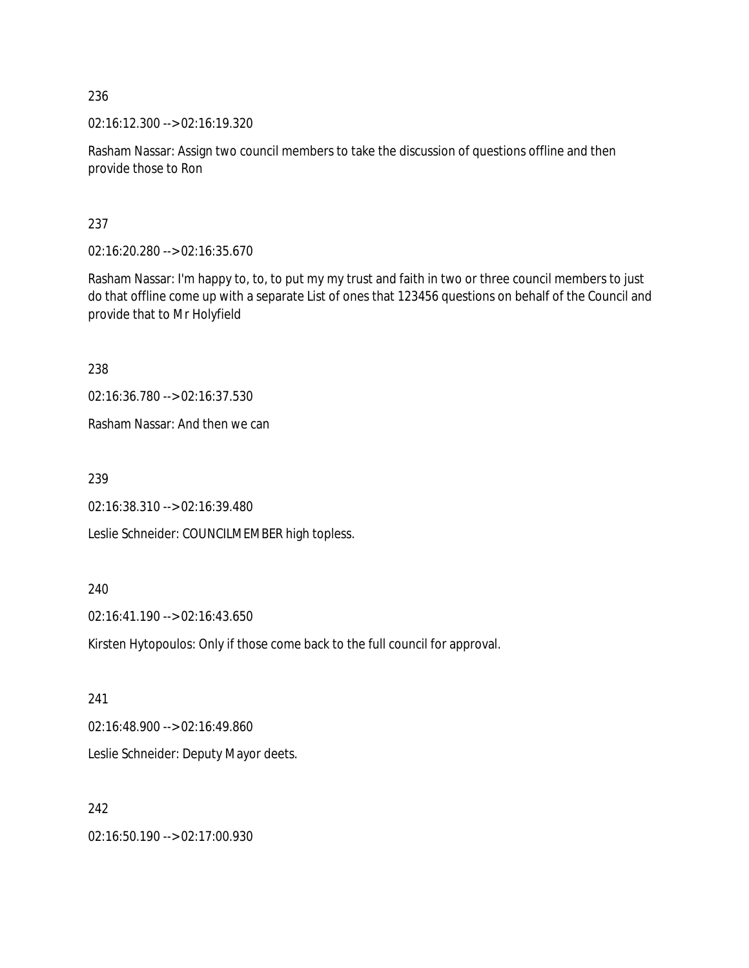02:16:12.300 --> 02:16:19.320

Rasham Nassar: Assign two council members to take the discussion of questions offline and then provide those to Ron

237

02:16:20.280 --> 02:16:35.670

Rasham Nassar: I'm happy to, to, to put my my trust and faith in two or three council members to just do that offline come up with a separate List of ones that 123456 questions on behalf of the Council and provide that to Mr Holyfield

238

02:16:36.780 --> 02:16:37.530

Rasham Nassar: And then we can

239

02:16:38.310 --> 02:16:39.480

Leslie Schneider: COUNCILMEMBER high topless.

240

02:16:41.190 --> 02:16:43.650

Kirsten Hytopoulos: Only if those come back to the full council for approval.

241

02:16:48.900 --> 02:16:49.860

Leslie Schneider: Deputy Mayor deets.

242

02:16:50.190 --> 02:17:00.930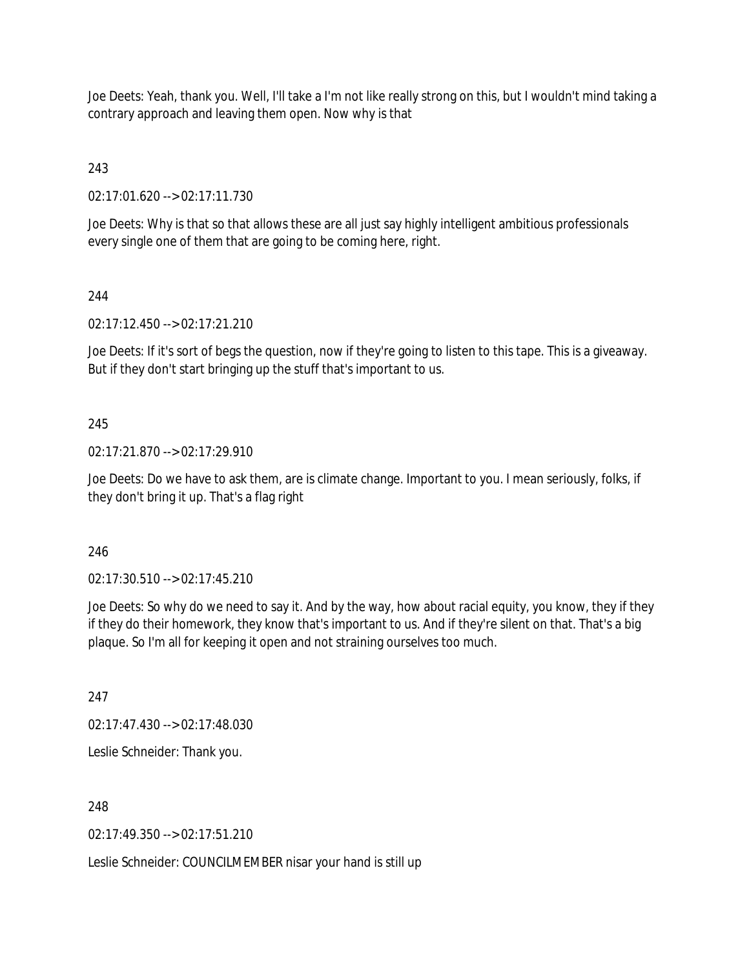Joe Deets: Yeah, thank you. Well, I'll take a I'm not like really strong on this, but I wouldn't mind taking a contrary approach and leaving them open. Now why is that

# 243

02:17:01.620 --> 02:17:11.730

Joe Deets: Why is that so that allows these are all just say highly intelligent ambitious professionals every single one of them that are going to be coming here, right.

# 244

02:17:12.450 --> 02:17:21.210

Joe Deets: If it's sort of begs the question, now if they're going to listen to this tape. This is a giveaway. But if they don't start bringing up the stuff that's important to us.

# 245

02:17:21.870 --> 02:17:29.910

Joe Deets: Do we have to ask them, are is climate change. Important to you. I mean seriously, folks, if they don't bring it up. That's a flag right

# 246

02:17:30.510 --> 02:17:45.210

Joe Deets: So why do we need to say it. And by the way, how about racial equity, you know, they if they if they do their homework, they know that's important to us. And if they're silent on that. That's a big plaque. So I'm all for keeping it open and not straining ourselves too much.

247

02:17:47.430 --> 02:17:48.030

Leslie Schneider: Thank you.

248

02:17:49.350 --> 02:17:51.210

Leslie Schneider: COUNCILMEMBER nisar your hand is still up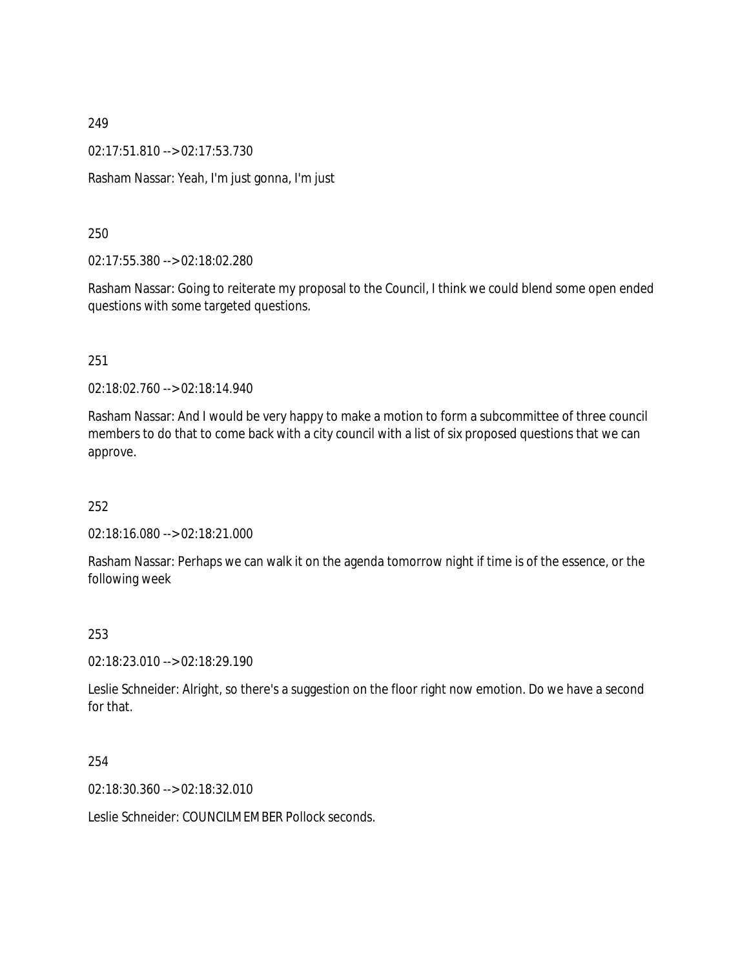02:17:51.810 --> 02:17:53.730

Rasham Nassar: Yeah, I'm just gonna, I'm just

250

02:17:55.380 --> 02:18:02.280

Rasham Nassar: Going to reiterate my proposal to the Council, I think we could blend some open ended questions with some targeted questions.

251

02:18:02.760 --> 02:18:14.940

Rasham Nassar: And I would be very happy to make a motion to form a subcommittee of three council members to do that to come back with a city council with a list of six proposed questions that we can approve.

252

02:18:16.080 --> 02:18:21.000

Rasham Nassar: Perhaps we can walk it on the agenda tomorrow night if time is of the essence, or the following week

253

02:18:23.010 --> 02:18:29.190

Leslie Schneider: Alright, so there's a suggestion on the floor right now emotion. Do we have a second for that.

254

02:18:30.360 --> 02:18:32.010

Leslie Schneider: COUNCILMEMBER Pollock seconds.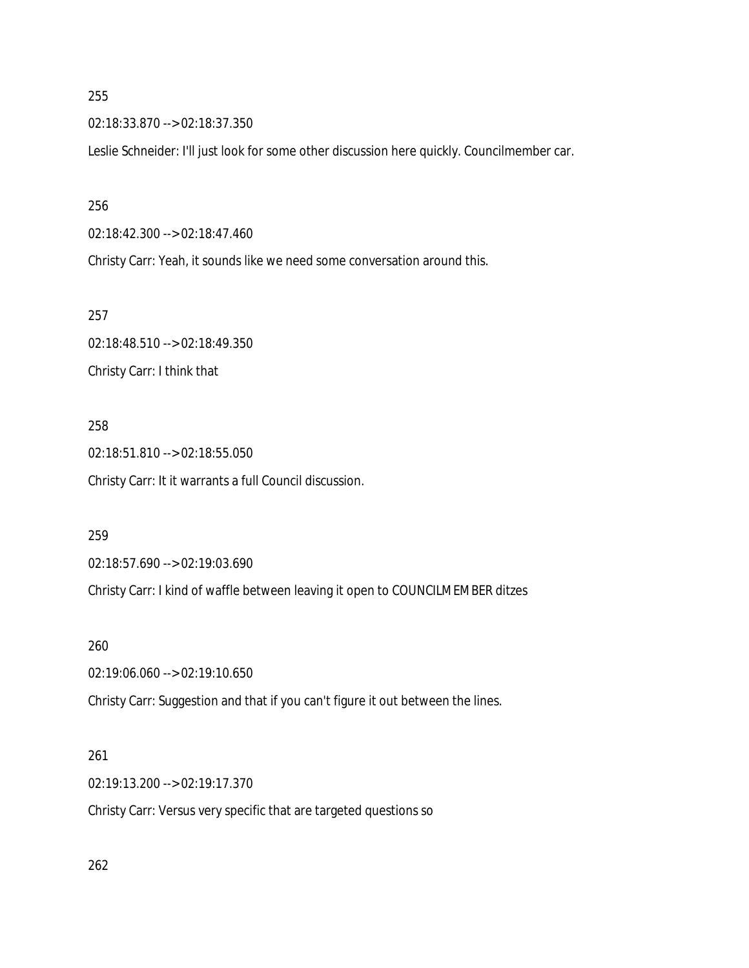02:18:33.870 --> 02:18:37.350

Leslie Schneider: I'll just look for some other discussion here quickly. Councilmember car.

#### 256

02:18:42.300 --> 02:18:47.460

Christy Carr: Yeah, it sounds like we need some conversation around this.

257

02:18:48.510 --> 02:18:49.350 Christy Carr: I think that

## 258

02:18:51.810 --> 02:18:55.050 Christy Carr: It it warrants a full Council discussion.

#### 259

02:18:57.690 --> 02:19:03.690

Christy Carr: I kind of waffle between leaving it open to COUNCILMEMBER ditzes

#### 260

02:19:06.060 --> 02:19:10.650

Christy Carr: Suggestion and that if you can't figure it out between the lines.

### 261

02:19:13.200 --> 02:19:17.370

Christy Carr: Versus very specific that are targeted questions so

262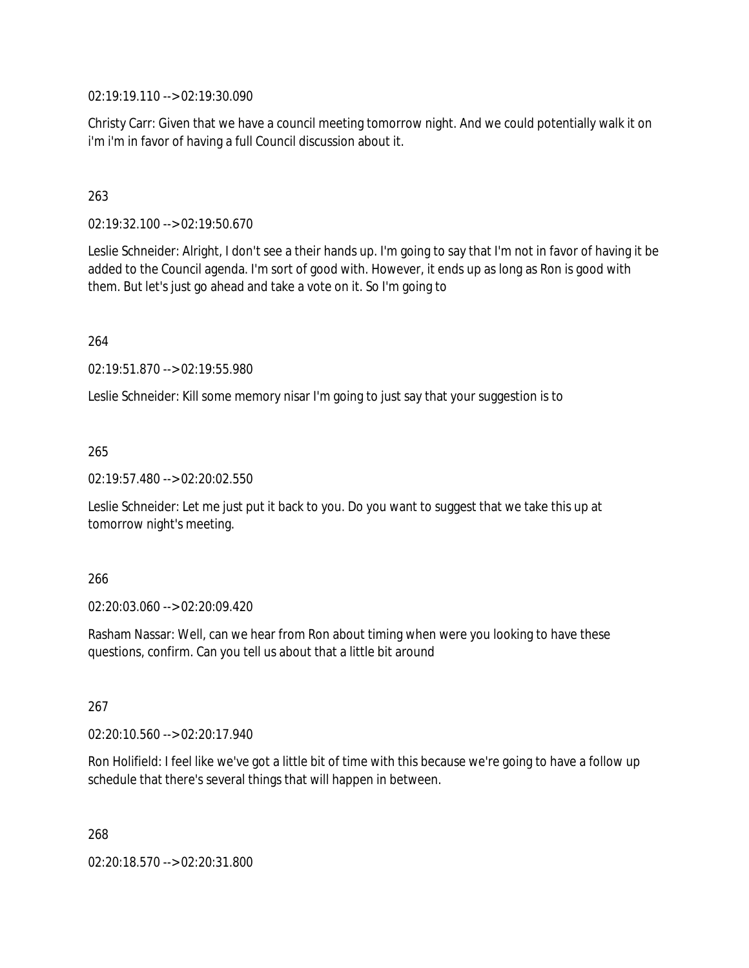02:19:19.110 --> 02:19:30.090

Christy Carr: Given that we have a council meeting tomorrow night. And we could potentially walk it on i'm i'm in favor of having a full Council discussion about it.

### 263

02:19:32.100 --> 02:19:50.670

Leslie Schneider: Alright, I don't see a their hands up. I'm going to say that I'm not in favor of having it be added to the Council agenda. I'm sort of good with. However, it ends up as long as Ron is good with them. But let's just go ahead and take a vote on it. So I'm going to

264

02:19:51.870 --> 02:19:55.980

Leslie Schneider: Kill some memory nisar I'm going to just say that your suggestion is to

265

02:19:57.480 --> 02:20:02.550

Leslie Schneider: Let me just put it back to you. Do you want to suggest that we take this up at tomorrow night's meeting.

#### 266

02:20:03.060 --> 02:20:09.420

Rasham Nassar: Well, can we hear from Ron about timing when were you looking to have these questions, confirm. Can you tell us about that a little bit around

267

02:20:10.560 --> 02:20:17.940

Ron Holifield: I feel like we've got a little bit of time with this because we're going to have a follow up schedule that there's several things that will happen in between.

268

02:20:18.570 --> 02:20:31.800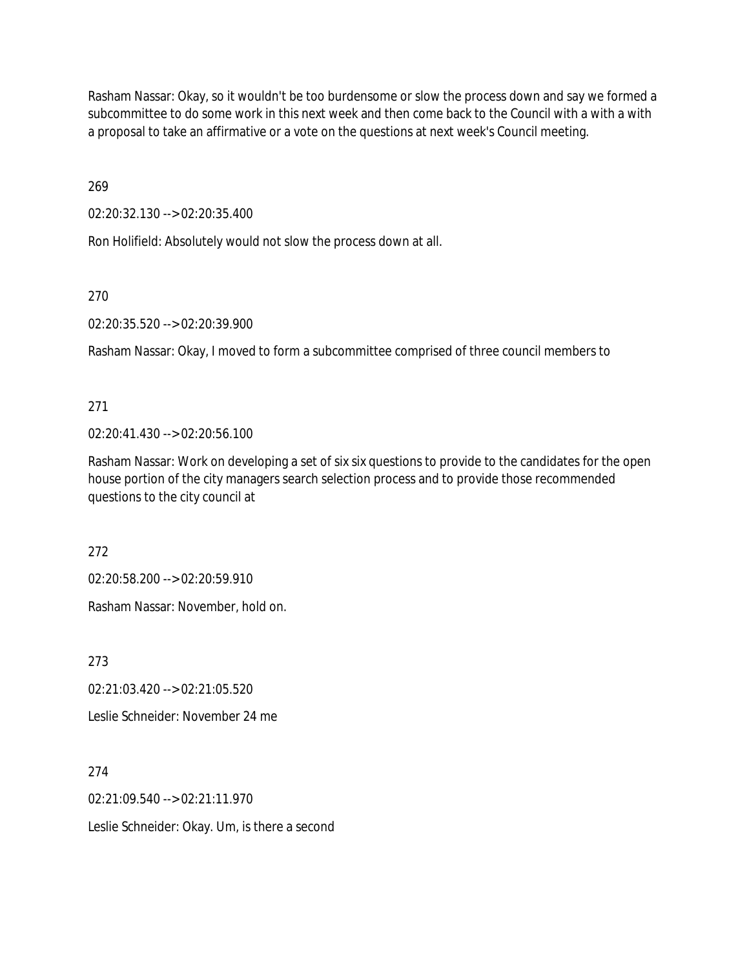Rasham Nassar: Okay, so it wouldn't be too burdensome or slow the process down and say we formed a subcommittee to do some work in this next week and then come back to the Council with a with a with a proposal to take an affirmative or a vote on the questions at next week's Council meeting.

269

02:20:32.130 --> 02:20:35.400

Ron Holifield: Absolutely would not slow the process down at all.

270

02:20:35.520 --> 02:20:39.900

Rasham Nassar: Okay, I moved to form a subcommittee comprised of three council members to

271

02:20:41.430 --> 02:20:56.100

Rasham Nassar: Work on developing a set of six six questions to provide to the candidates for the open house portion of the city managers search selection process and to provide those recommended questions to the city council at

272

02:20:58.200 --> 02:20:59.910

Rasham Nassar: November, hold on.

273

02:21:03.420 --> 02:21:05.520

Leslie Schneider: November 24 me

274

02:21:09.540 --> 02:21:11.970

Leslie Schneider: Okay. Um, is there a second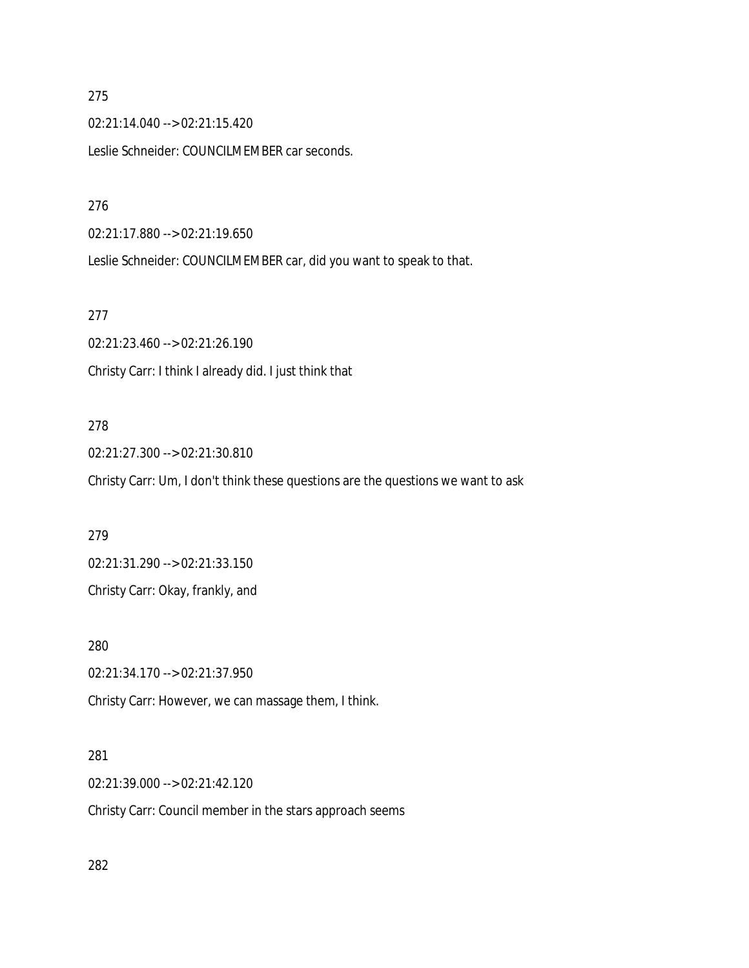02:21:14.040 --> 02:21:15.420

Leslie Schneider: COUNCILMEMBER car seconds.

### 276

02:21:17.880 --> 02:21:19.650

Leslie Schneider: COUNCILMEMBER car, did you want to speak to that.

### 277

02:21:23.460 --> 02:21:26.190 Christy Carr: I think I already did. I just think that

## 278

02:21:27.300 --> 02:21:30.810

Christy Carr: Um, I don't think these questions are the questions we want to ask

#### 279

02:21:31.290 --> 02:21:33.150

Christy Carr: Okay, frankly, and

#### 280

02:21:34.170 --> 02:21:37.950

Christy Carr: However, we can massage them, I think.

### 281

02:21:39.000 --> 02:21:42.120

Christy Carr: Council member in the stars approach seems

282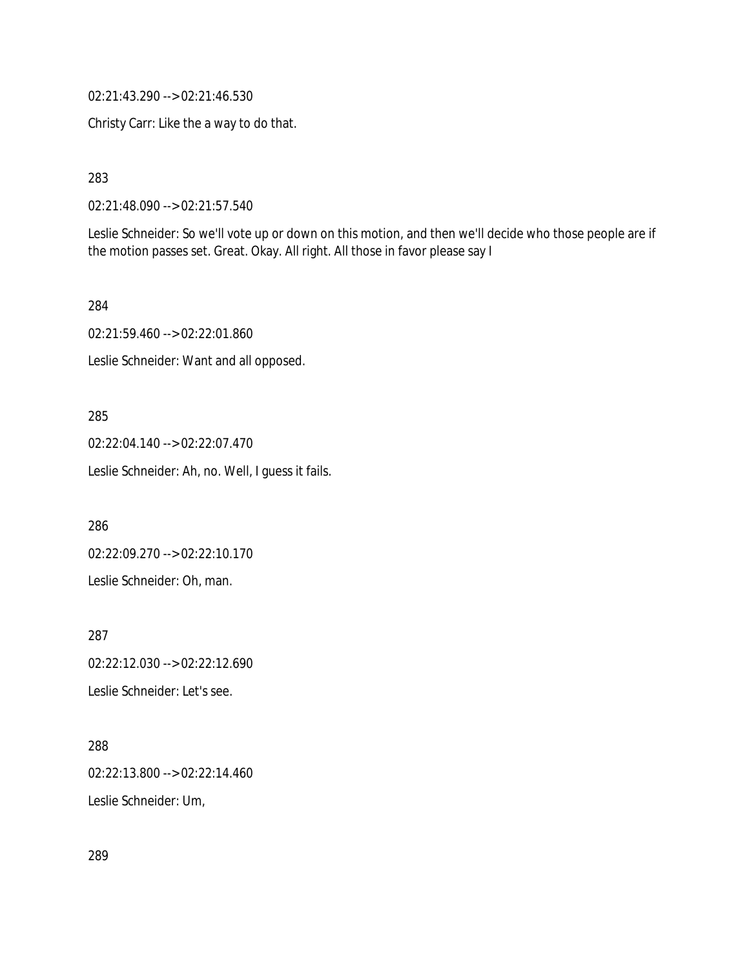02:21:43.290 --> 02:21:46.530

Christy Carr: Like the a way to do that.

283

02:21:48.090 --> 02:21:57.540

Leslie Schneider: So we'll vote up or down on this motion, and then we'll decide who those people are if the motion passes set. Great. Okay. All right. All those in favor please say I

284

02:21:59.460 --> 02:22:01.860

Leslie Schneider: Want and all opposed.

#### 285

02:22:04.140 --> 02:22:07.470 Leslie Schneider: Ah, no. Well, I guess it fails.

286

02:22:09.270 --> 02:22:10.170

Leslie Schneider: Oh, man.

287

02:22:12.030 --> 02:22:12.690

Leslie Schneider: Let's see.

288

02:22:13.800 --> 02:22:14.460 Leslie Schneider: Um,

289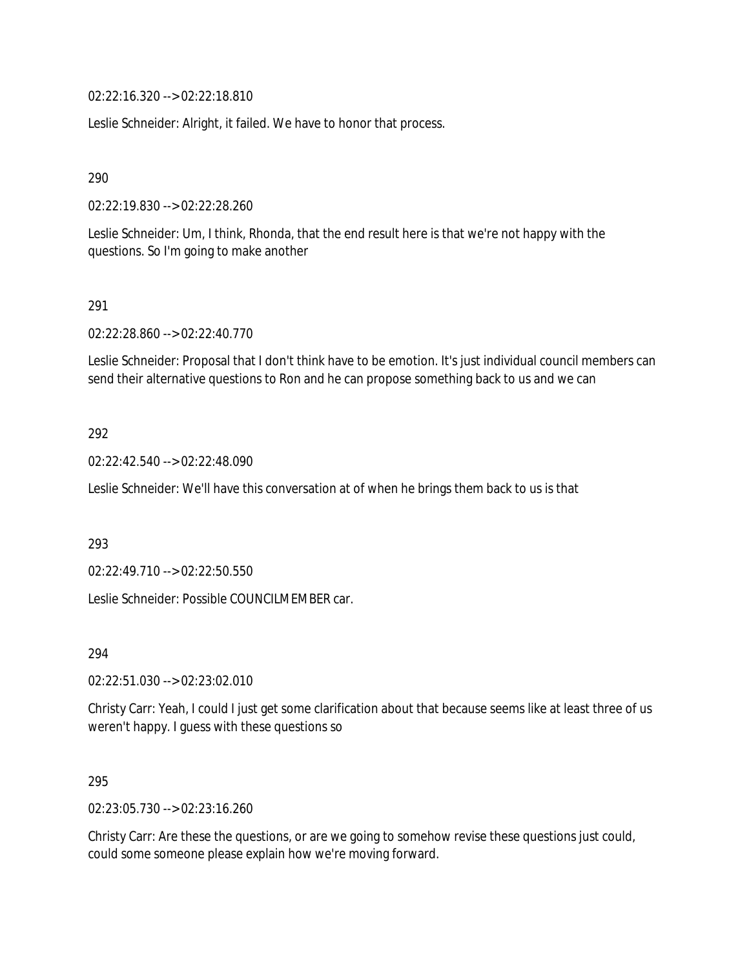02:22:16.320 --> 02:22:18.810

Leslie Schneider: Alright, it failed. We have to honor that process.

290

02:22:19.830 --> 02:22:28.260

Leslie Schneider: Um, I think, Rhonda, that the end result here is that we're not happy with the questions. So I'm going to make another

#### 291

02:22:28.860 --> 02:22:40.770

Leslie Schneider: Proposal that I don't think have to be emotion. It's just individual council members can send their alternative questions to Ron and he can propose something back to us and we can

#### 292

02:22:42.540 --> 02:22:48.090

Leslie Schneider: We'll have this conversation at of when he brings them back to us is that

#### 293

02:22:49.710 --> 02:22:50.550

Leslie Schneider: Possible COUNCILMEMBER car.

294

02:22:51.030 --> 02:23:02.010

Christy Carr: Yeah, I could I just get some clarification about that because seems like at least three of us weren't happy. I guess with these questions so

#### 295

02:23:05.730 --> 02:23:16.260

Christy Carr: Are these the questions, or are we going to somehow revise these questions just could, could some someone please explain how we're moving forward.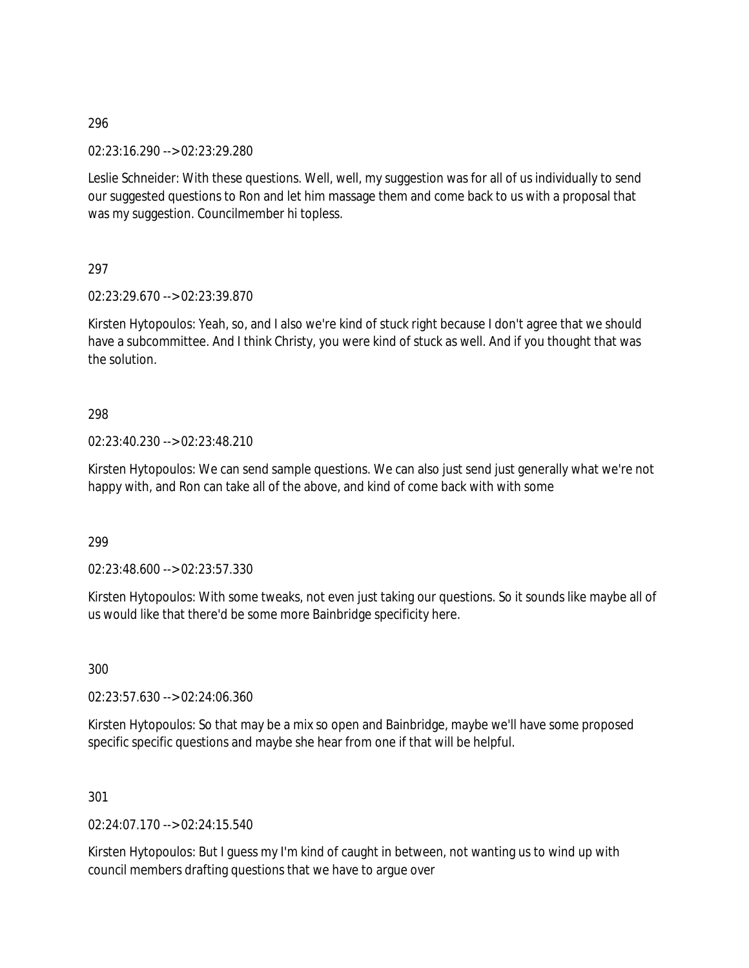02:23:16.290 --> 02:23:29.280

Leslie Schneider: With these questions. Well, well, my suggestion was for all of us individually to send our suggested questions to Ron and let him massage them and come back to us with a proposal that was my suggestion. Councilmember hi topless.

297

02:23:29.670 --> 02:23:39.870

Kirsten Hytopoulos: Yeah, so, and I also we're kind of stuck right because I don't agree that we should have a subcommittee. And I think Christy, you were kind of stuck as well. And if you thought that was the solution.

298

#### 02:23:40.230 --> 02:23:48.210

Kirsten Hytopoulos: We can send sample questions. We can also just send just generally what we're not happy with, and Ron can take all of the above, and kind of come back with with some

299

02:23:48.600 --> 02:23:57.330

Kirsten Hytopoulos: With some tweaks, not even just taking our questions. So it sounds like maybe all of us would like that there'd be some more Bainbridge specificity here.

300

02:23:57.630 --> 02:24:06.360

Kirsten Hytopoulos: So that may be a mix so open and Bainbridge, maybe we'll have some proposed specific specific questions and maybe she hear from one if that will be helpful.

301

02:24:07.170 --> 02:24:15.540

Kirsten Hytopoulos: But I guess my I'm kind of caught in between, not wanting us to wind up with council members drafting questions that we have to argue over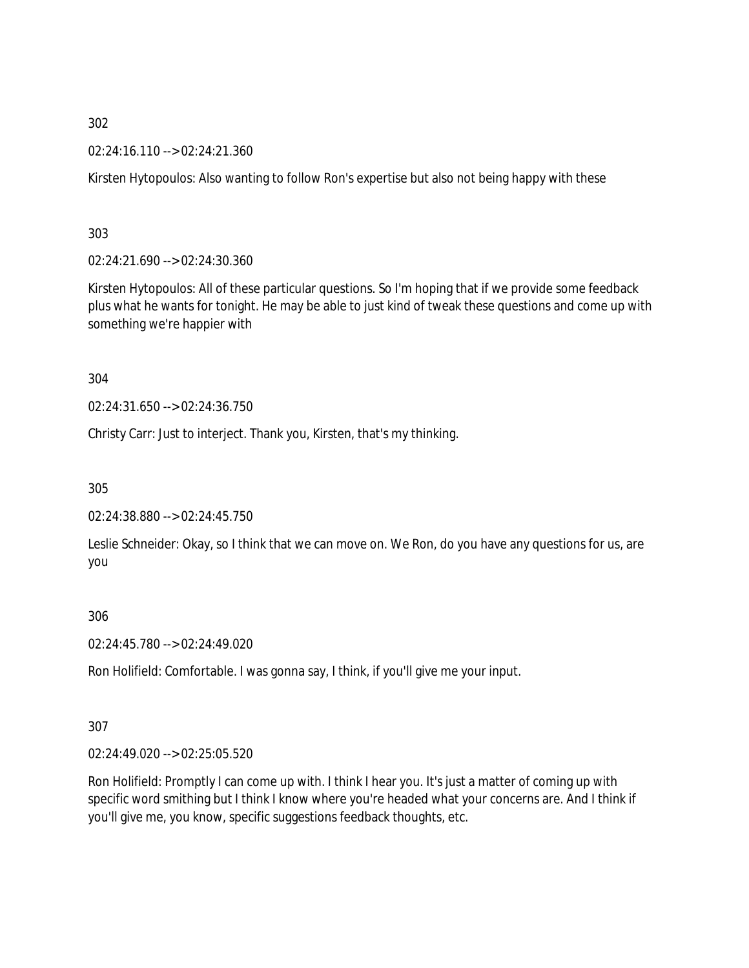02:24:16.110 --> 02:24:21.360

Kirsten Hytopoulos: Also wanting to follow Ron's expertise but also not being happy with these

303

02:24:21.690 --> 02:24:30.360

Kirsten Hytopoulos: All of these particular questions. So I'm hoping that if we provide some feedback plus what he wants for tonight. He may be able to just kind of tweak these questions and come up with something we're happier with

304

02:24:31.650 --> 02:24:36.750

Christy Carr: Just to interject. Thank you, Kirsten, that's my thinking.

305

02:24:38.880 --> 02:24:45.750

Leslie Schneider: Okay, so I think that we can move on. We Ron, do you have any questions for us, are you

306

02:24:45.780 --> 02:24:49.020

Ron Holifield: Comfortable. I was gonna say, I think, if you'll give me your input.

307

02:24:49.020 --> 02:25:05.520

Ron Holifield: Promptly I can come up with. I think I hear you. It's just a matter of coming up with specific word smithing but I think I know where you're headed what your concerns are. And I think if you'll give me, you know, specific suggestions feedback thoughts, etc.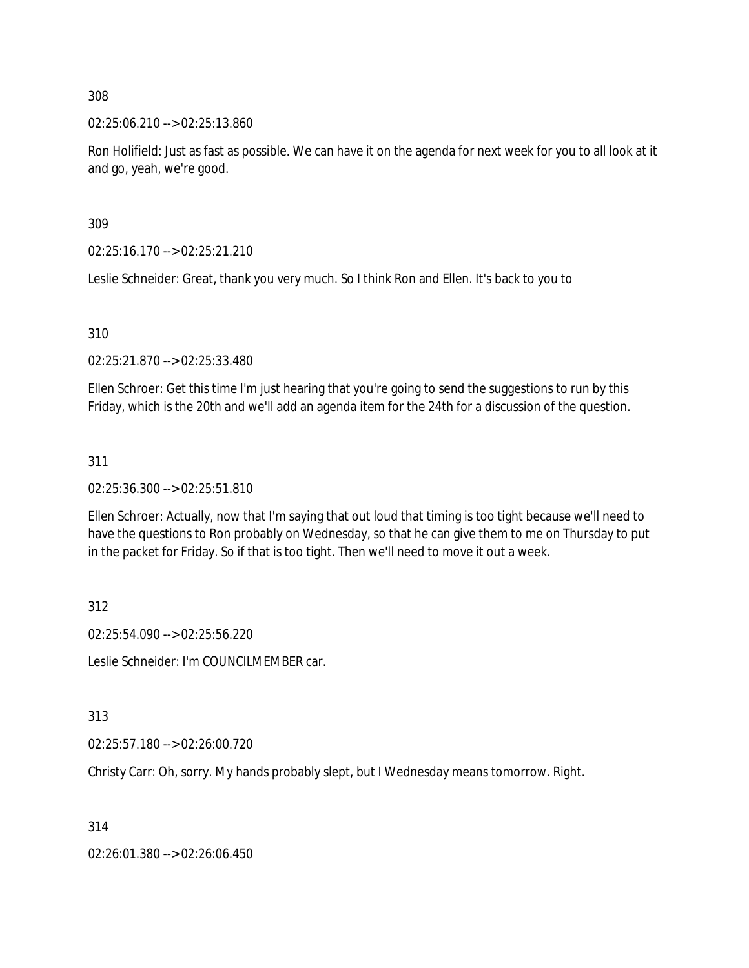02:25:06.210 --> 02:25:13.860

Ron Holifield: Just as fast as possible. We can have it on the agenda for next week for you to all look at it and go, yeah, we're good.

309

02:25:16.170 --> 02:25:21.210

Leslie Schneider: Great, thank you very much. So I think Ron and Ellen. It's back to you to

310

02:25:21.870 --> 02:25:33.480

Ellen Schroer: Get this time I'm just hearing that you're going to send the suggestions to run by this Friday, which is the 20th and we'll add an agenda item for the 24th for a discussion of the question.

311

02:25:36.300 --> 02:25:51.810

Ellen Schroer: Actually, now that I'm saying that out loud that timing is too tight because we'll need to have the questions to Ron probably on Wednesday, so that he can give them to me on Thursday to put in the packet for Friday. So if that is too tight. Then we'll need to move it out a week.

312

02:25:54.090 --> 02:25:56.220

Leslie Schneider: I'm COUNCILMEMBER car.

313

02:25:57.180 --> 02:26:00.720

Christy Carr: Oh, sorry. My hands probably slept, but I Wednesday means tomorrow. Right.

314

02:26:01.380 --> 02:26:06.450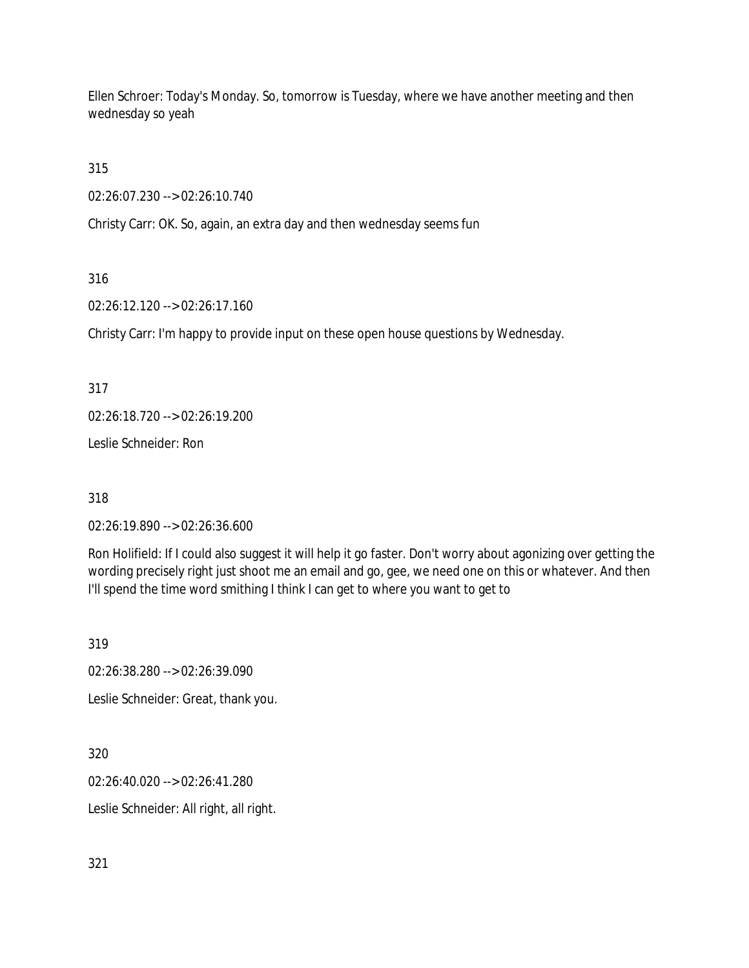Ellen Schroer: Today's Monday. So, tomorrow is Tuesday, where we have another meeting and then wednesday so yeah

315

02:26:07.230 --> 02:26:10.740

Christy Carr: OK. So, again, an extra day and then wednesday seems fun

### 316

02:26:12.120 --> 02:26:17.160

Christy Carr: I'm happy to provide input on these open house questions by Wednesday.

317

02:26:18.720 --> 02:26:19.200

Leslie Schneider: Ron

318

02:26:19.890 --> 02:26:36.600

Ron Holifield: If I could also suggest it will help it go faster. Don't worry about agonizing over getting the wording precisely right just shoot me an email and go, gee, we need one on this or whatever. And then I'll spend the time word smithing I think I can get to where you want to get to

319

02:26:38.280 --> 02:26:39.090

Leslie Schneider: Great, thank you.

320

02:26:40.020 --> 02:26:41.280

Leslie Schneider: All right, all right.

321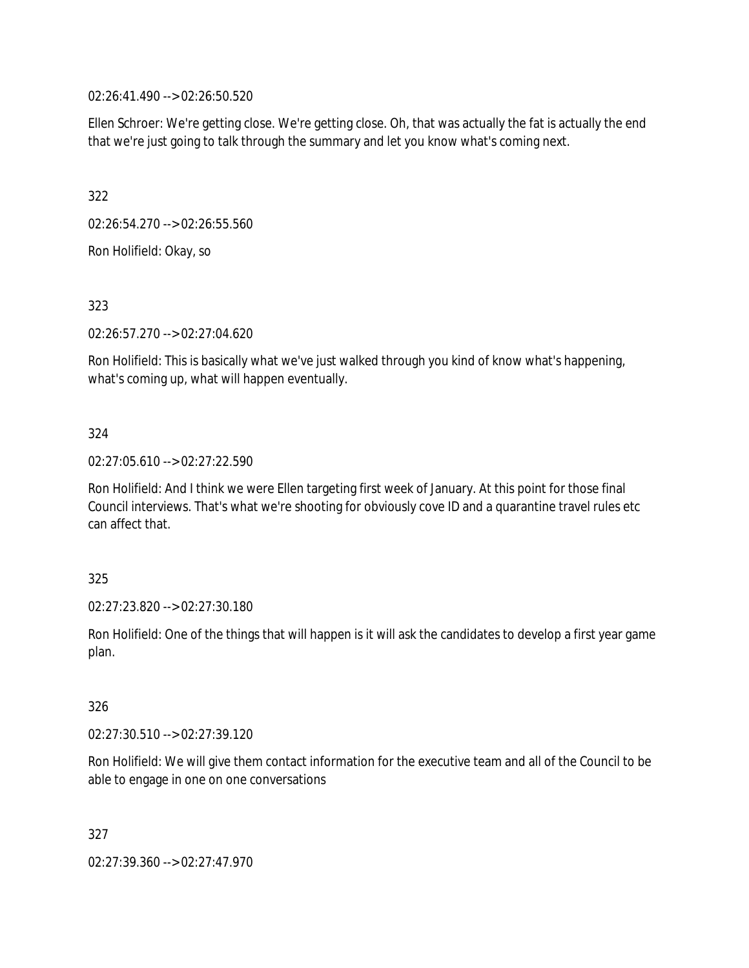02:26:41.490 --> 02:26:50.520

Ellen Schroer: We're getting close. We're getting close. Oh, that was actually the fat is actually the end that we're just going to talk through the summary and let you know what's coming next.

322

02:26:54.270 --> 02:26:55.560

Ron Holifield: Okay, so

323

02:26:57.270 --> 02:27:04.620

Ron Holifield: This is basically what we've just walked through you kind of know what's happening, what's coming up, what will happen eventually.

### 324

02:27:05.610 --> 02:27:22.590

Ron Holifield: And I think we were Ellen targeting first week of January. At this point for those final Council interviews. That's what we're shooting for obviously cove ID and a quarantine travel rules etc can affect that.

### 325

02:27:23.820 --> 02:27:30.180

Ron Holifield: One of the things that will happen is it will ask the candidates to develop a first year game plan.

#### 326

02:27:30.510 --> 02:27:39.120

Ron Holifield: We will give them contact information for the executive team and all of the Council to be able to engage in one on one conversations

327

02:27:39.360 --> 02:27:47.970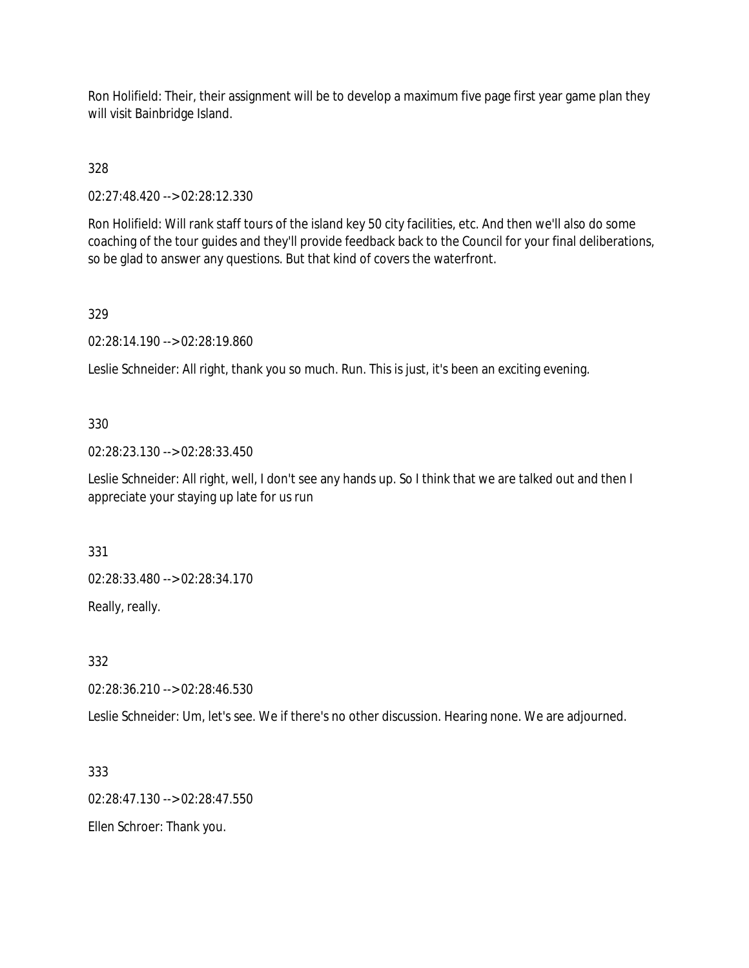Ron Holifield: Their, their assignment will be to develop a maximum five page first year game plan they will visit Bainbridge Island.

328

02:27:48.420 --> 02:28:12.330

Ron Holifield: Will rank staff tours of the island key 50 city facilities, etc. And then we'll also do some coaching of the tour guides and they'll provide feedback back to the Council for your final deliberations, so be glad to answer any questions. But that kind of covers the waterfront.

329

02:28:14.190 --> 02:28:19.860

Leslie Schneider: All right, thank you so much. Run. This is just, it's been an exciting evening.

### 330

02:28:23.130 --> 02:28:33.450

Leslie Schneider: All right, well, I don't see any hands up. So I think that we are talked out and then I appreciate your staying up late for us run

331

02:28:33.480 --> 02:28:34.170

Really, really.

332

02:28:36.210 --> 02:28:46.530

Leslie Schneider: Um, let's see. We if there's no other discussion. Hearing none. We are adjourned.

333

02:28:47.130 --> 02:28:47.550

Ellen Schroer: Thank you.